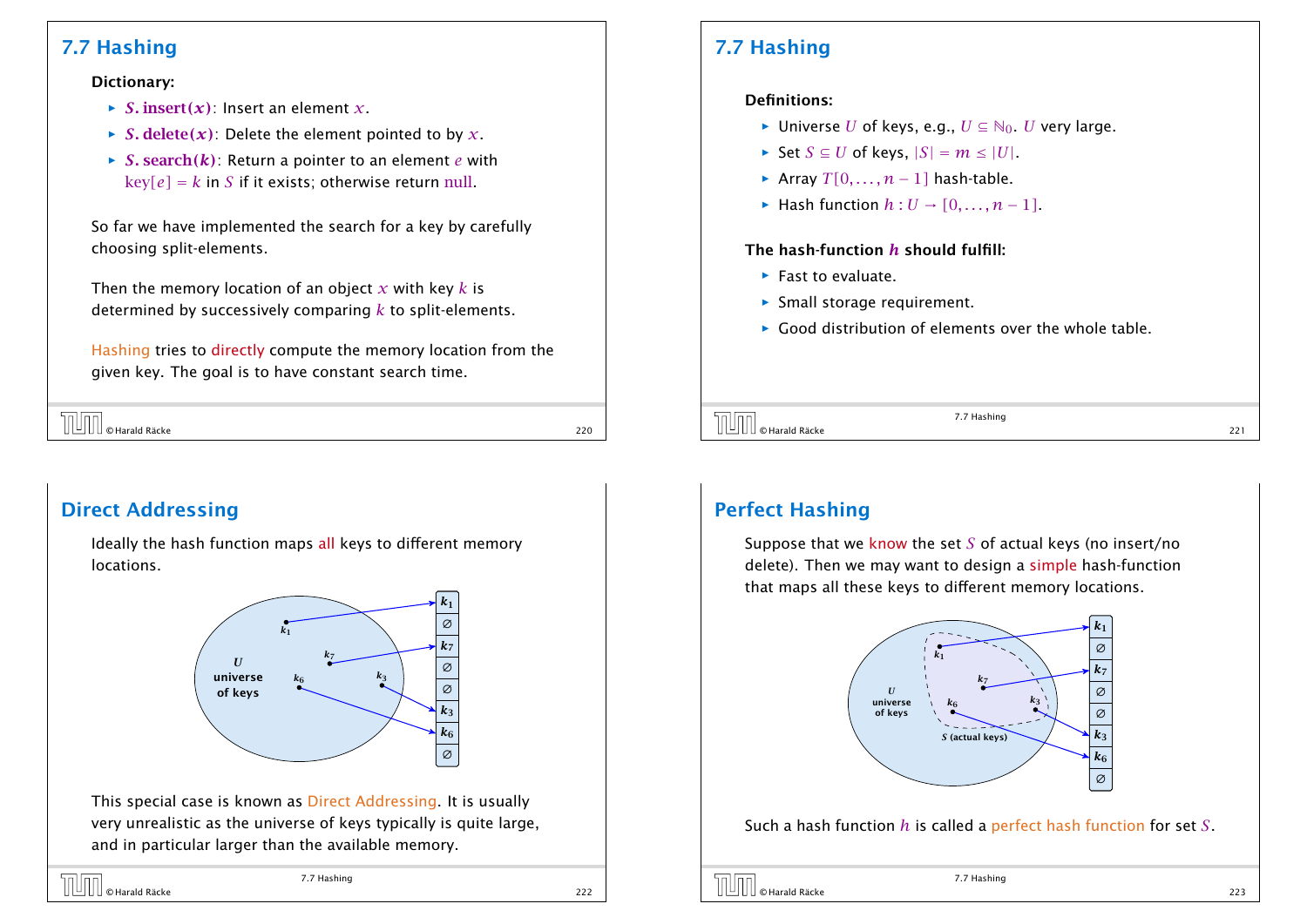## 7.7 Hashing

#### Dictionary:

- $\triangleright$  *S*. insert(*x*): Insert an element *x*.
- $\rightarrow$  *S*. delete(*x*): Delete the element pointed to by *x*.
- $\rightarrow$  *S*. search(*k*): Return a pointer to an element *e* with  $key[e] = k$  in *S* if it exists; otherwise return null.

So far we have implemented the search for a key by carefully choosing split-elements.

Then the memory location of an object *x* with key *k* is determined by successively comparing *k* to split-elements.

Hashing tries to directly compute the memory location from the given key. The goal is to have constant search time.

| <b>TUTT</b> © Harald Räcke |     |
|----------------------------|-----|
|                            | 220 |

## Direct Addressing

Ideally the hash function maps all keys to different memory locations.



This special case is known as Direct Addressing. It is usually very unrealistic as the universe of keys typically is quite large, and in particular larger than the available memory.

## 7.7 Hashing

#### Definitions:

- *►* Universe *U* of keys, e.g.,  $U \subseteq N_0$ . *U* very large.
- *►* Set  $S \subseteq U$  of keys,  $|S| = m \leq |U|$ .
- *►* Array *T*[0*, . . . , n* − 1] hash-table.
- *►* Hash function  $h: U \rightarrow [0, \ldots, n-1]$ .

#### The hash-function *h* should fulfill:

- **Fast to evaluate.**
- **Formall storage requirement.**
- **F** Good distribution of elements over the whole table.



7.7 Hashing

## Perfect Hashing

Suppose that we know the set *S* of actual keys (no insert/no delete). Then we may want to design a simple hash-function that maps all these keys to different memory locations.



Such a hash function *h* is called a perfect hash function for set *S*.

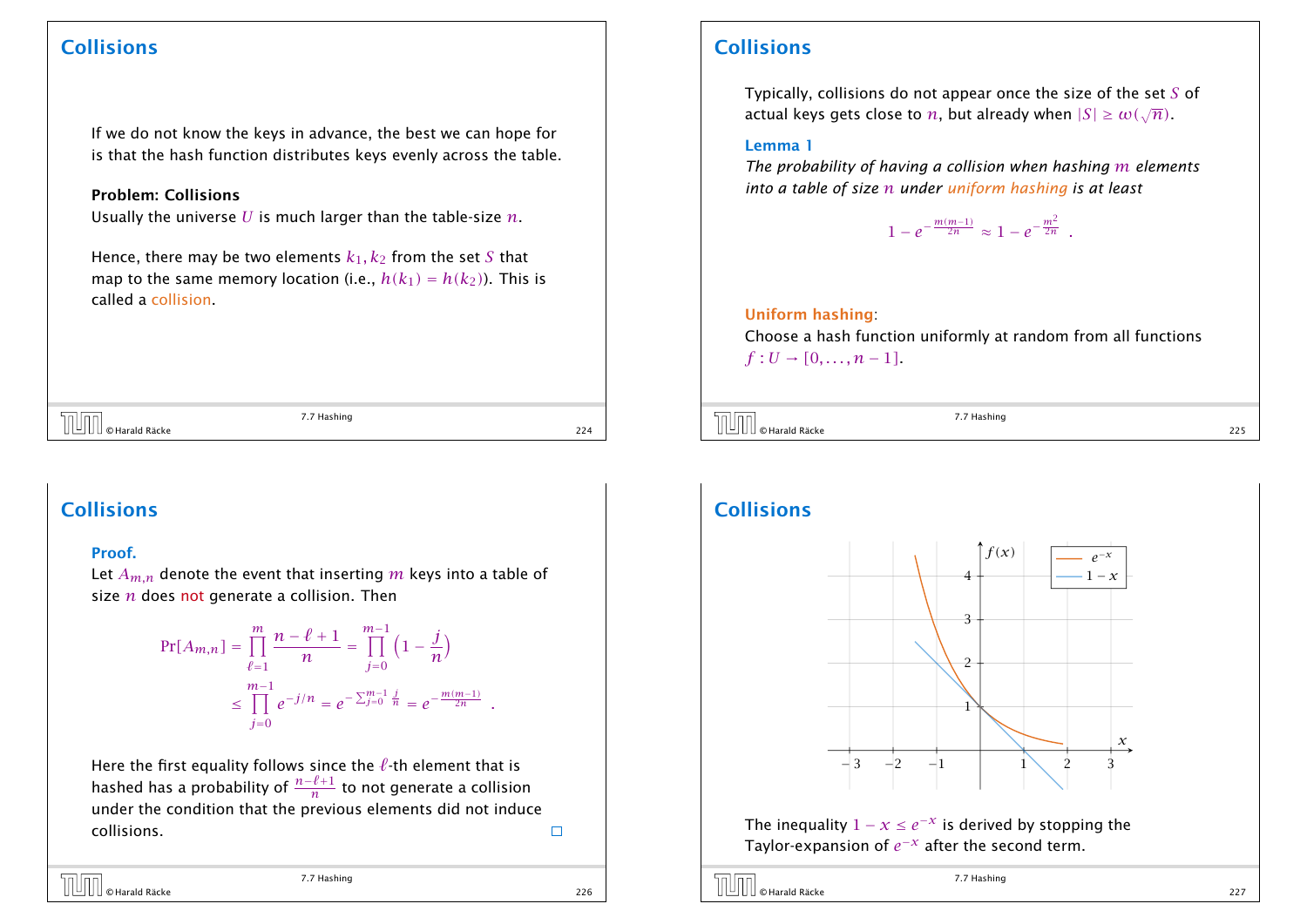#### Collisions

If we do not know the keys in advance, the best we can hope for is that the hash function distributes keys evenly across the table.

#### Problem: Collisions

Usually the universe *U* is much larger than the table-size *n*.

Hence, there may be two elements  $k_1, k_2$  from the set S that map to the same memory location (i.e.,  $h(k_1) = h(k_2)$ ). This is called a collision.

 $\boxed{\Box\Box\Box}$   $\odot$  Harald Räcke 224  $\Box$  224  $\Box$  224  $\Box$  224  $\Box$  224  $\Box$  224  $\Box$  224  $\Box$  224  $\Box$  224  $\Box$  224  $\Box$  224  $\Box$  224  $\Box$  225  $\Box$  225  $\Box$  225  $\Box$  225  $\Box$  225  $\Box$  225  $\Box$  225  $\Box$  225  $\Box$  225  $\Box$  2

7.7 Hashing

#### Collisions

#### Proof.

Let  $A_{m,n}$  denote the event that inserting  $m$  keys into a table of size *n* does not generate a collision. Then

$$
\Pr[A_{m,n}] = \prod_{\ell=1}^{m} \frac{n-\ell+1}{n} = \prod_{j=0}^{m-1} \left(1 - \frac{j}{n}\right)
$$
  

$$
\leq \prod_{j=0}^{m-1} e^{-j/n} = e^{-\sum_{j=0}^{m-1} \frac{j}{n}} = e^{-\frac{m(m-1)}{2n}}.
$$

Here the first equality follows since the  $\ell$ -th element that is hashed has a probability of *<sup>n</sup>*−*`*+<sup>1</sup> *n* to not generate a collision under the condition that the previous elements did not induce collisions.

 $\begin{array}{c} \begin{array}{c} \begin{array}{c} \end{array} \end{array} \ \begin{array}{ccc} \end{array} \end{array}$   $\begin{array}{c} \end{array}$   $\begin{array}{c} \end{array}$   $\begin{array}{c} \end{array}$   $\begin{array}{c} \end{array}$   $\begin{array}{c} \end{array}$   $\begin{array}{c} \end{array}$   $\begin{array}{c} \end{array}$   $\begin{array}{c} \end{array}$   $\begin{array}{c} \end{array}$   $\begin{array}{c} \end{array}$   $\end{array}$   $\begin{array}{c} \end{$ 

7.7 Hashing

 $\Box$ 

#### Collisions

Typically, collisions do not appear once the size of the set *S* of actual keys gets close to  $n,$  but already when  $|S| \geq \omega(\sqrt{n}).$ 

#### Lemma 1

*The probability of having a collision when hashing m elements into a table of size n under uniform hashing is at least*

 $1 - e^{-\frac{m(m-1)}{2n}} \approx 1 - e^{-\frac{m^2}{2n}}$ .

#### Uniform hashing:

Choose a hash function uniformly at random from all functions  $f: U \to [0, \ldots, n-1].$ 



7.7 Hashing

### Collisions



The inequality  $1 - x \le e^{-x}$  is derived by stopping the Taylor-expansion of  $e^{-x}$  after the second term.

© Harald Räcke 227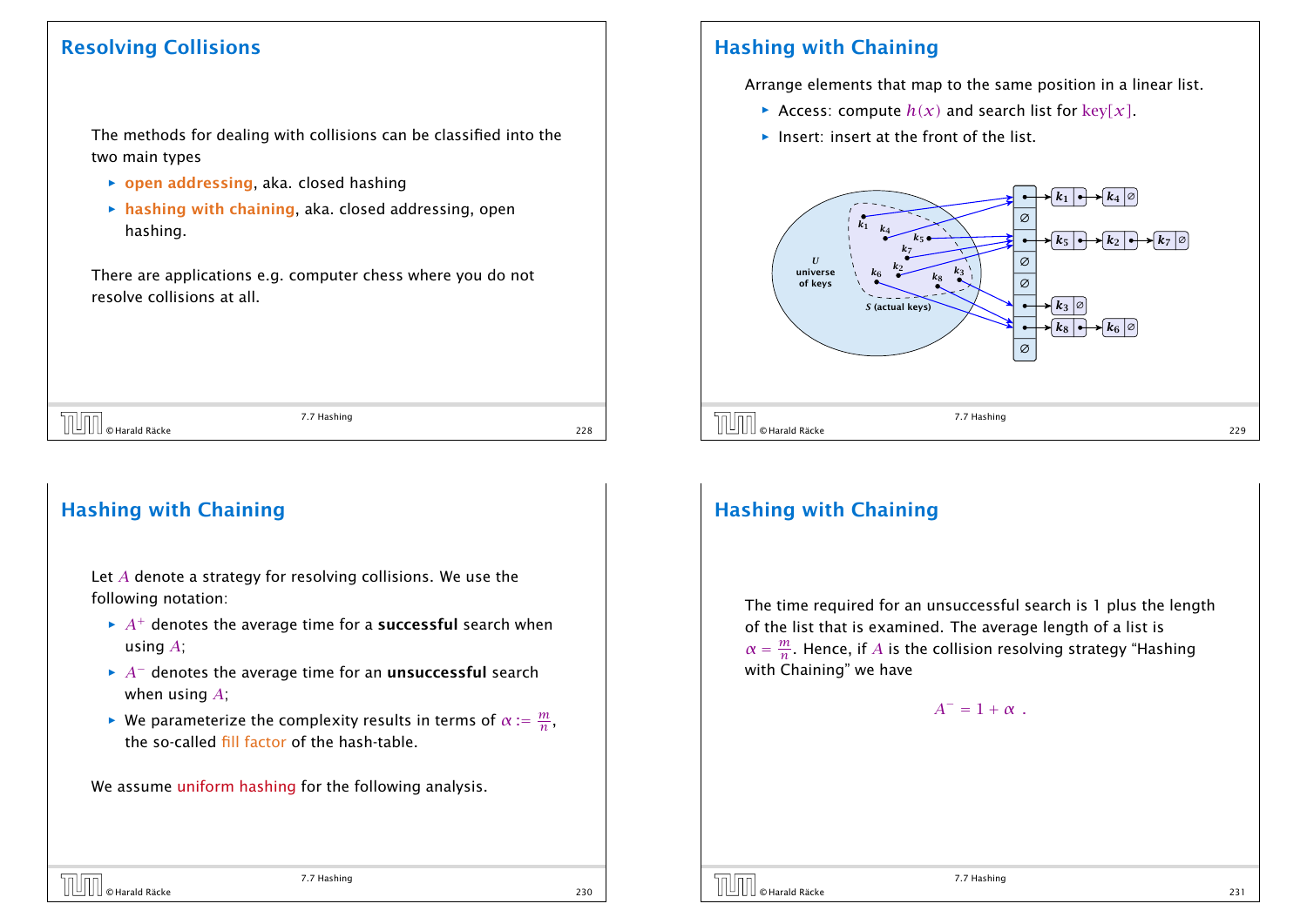### Resolving Collisions

The methods for dealing with collisions can be classified into the two main types

- ▶ open addressing, aka. closed hashing
- **hashing with chaining, aka. closed addressing, open** hashing.

There are applications e.g. computer chess where you do not resolve collisions at all.

 $\boxed{\Box\Box\Box}$   $\odot$  Harald Räcke 228  $\Box$  228

7.7 Hashing

### Hashing with Chaining

Let *A* denote a strategy for resolving collisions. We use the following notation:

- $\rightarrow$  *A*<sup>+</sup> denotes the average time for a **successful** search when using *A*;
- $\rightarrow$  *A*<sup>−</sup> denotes the average time for an **unsuccessful** search when using *A*;
- $▶$  We parameterize the complexity results in terms of  $α := \frac{m}{n}$  $\frac{m}{n}$ , the so-called fill factor of the hash-table.

We assume uniform hashing for the following analysis.

### Hashing with Chaining

Arrange elements that map to the same position in a linear list.

- Access: compute  $h(x)$  and search list for key $[x]$ .
- $\blacktriangleright$  Insert: insert at the front of the list.



## Hashing with Chaining

The time required for an unsuccessful search is 1 plus the length of the list that is examined. The average length of a list is  $\alpha = \frac{m}{n}$  $\frac{m}{n}$ . Hence, if  $A$  is the collision resolving strategy "Hashing with Chaining" we have

 $A^- = 1 + \alpha$ .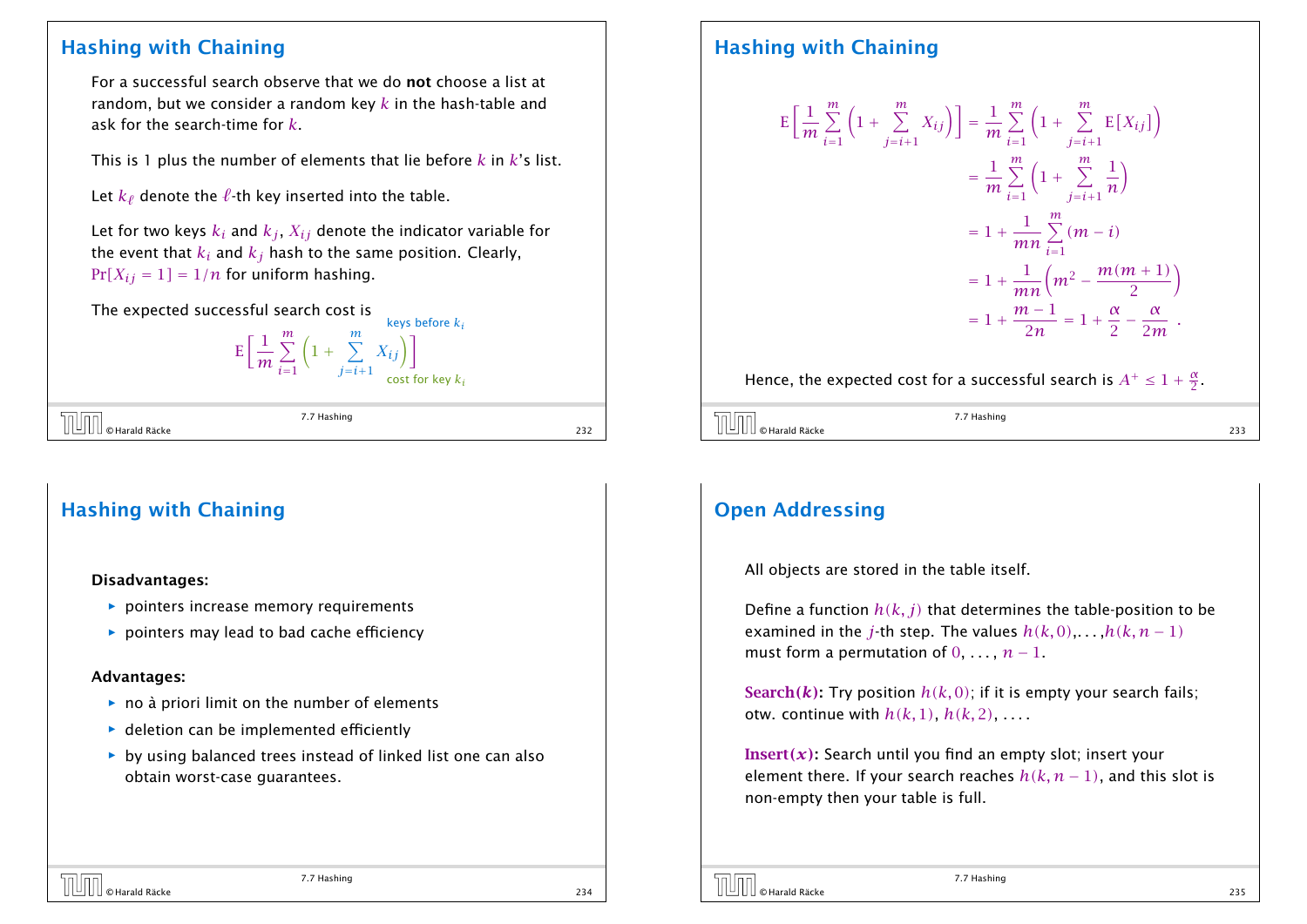### Hashing with Chaining

For a successful search observe that we do not choose a list at random, but we consider a random key *k* in the hash-table and ask for the search-time for *k*.

This is 1 plus the number of elements that lie before *k* in *k*'s list.

Let  $k_\ell$  denote the  $\ell$ -th key inserted into the table.

Let for two keys  $k_i$  and  $k_j$ ,  $X_{ij}$  denote the indicator variable for the event that  $k_i$  and  $k_j$  hash to the same position. Clearly,  $Pr[X_{ij} = 1] = 1/n$  for uniform hashing.

The expected successful search cost is

 $E\left[\frac{1}{\pi}\right]$ *m* X*m i*=1  $\left(1+\sum_{i=1}^{m}$ *j*=*i*+1  $X_{ij}$ ] cost for key *k<sup>i</sup>*

keys before *k<sup>i</sup>*

|  | $\text{tr}\left[\bigcup_{\text{max}}\right]$ $\circ$ Harald Räcke<br>7.7 Hashing |     |
|--|----------------------------------------------------------------------------------|-----|
|  |                                                                                  | 232 |

7.7 Hashing

## Hashing with Chaining

#### Disadvantages:

- **P** pointers increase memory requirements
- **•** pointers may lead to bad cache efficiency

#### Advantages:

- **▶ no à priori limit on the number of elements**
- **•** deletion can be implemented efficiently
- $\rightarrow$  by using balanced trees instead of linked list one can also obtain worst-case guarantees.

## Hashing with Chaining

$$
E\left[\frac{1}{m}\sum_{i=1}^{m}\left(1+\sum_{j=i+1}^{m}X_{ij}\right)\right] = \frac{1}{m}\sum_{i=1}^{m}\left(1+\sum_{j=i+1}^{m}E[X_{ij}]\right)
$$
  

$$
= \frac{1}{m}\sum_{i=1}^{m}\left(1+\sum_{j=i+1}^{m}\frac{1}{n}\right)
$$
  

$$
= 1+\frac{1}{mn}\sum_{i=1}^{m}(m-i)
$$
  

$$
= 1+\frac{1}{mn}\left(m^{2}-\frac{m(m+1)}{2}\right)
$$
  

$$
= 1+\frac{m-1}{2n} = 1+\frac{\alpha}{2}-\frac{\alpha}{2m}.
$$

Hence, the expected cost for a successful search is  $A^+ \leq 1 + \frac{\alpha}{2}$ .

| $\int$ $\int$ $\otimes$ Harald Räcke | 7.7 Hashing | ,,, |
|--------------------------------------|-------------|-----|
|                                      |             |     |

## Open Addressing

 $\overline{\mathbb{R}}$ 

All objects are stored in the table itself.

Define a function  $h(k, j)$  that determines the table-position to be examined in the *j*-th step. The values  $h(k, 0), \ldots, h(k, n-1)$ must form a permutation of  $0, \ldots, n-1$ .

**Search(k):** Try position  $h(k, 0)$ ; if it is empty your search fails; otw. continue with  $h(k, 1)$ ,  $h(k, 2)$ , ...

Insert*(x)*: Search until you find an empty slot; insert your element there. If your search reaches  $h(k, n-1)$ , and this slot is non-empty then your table is full.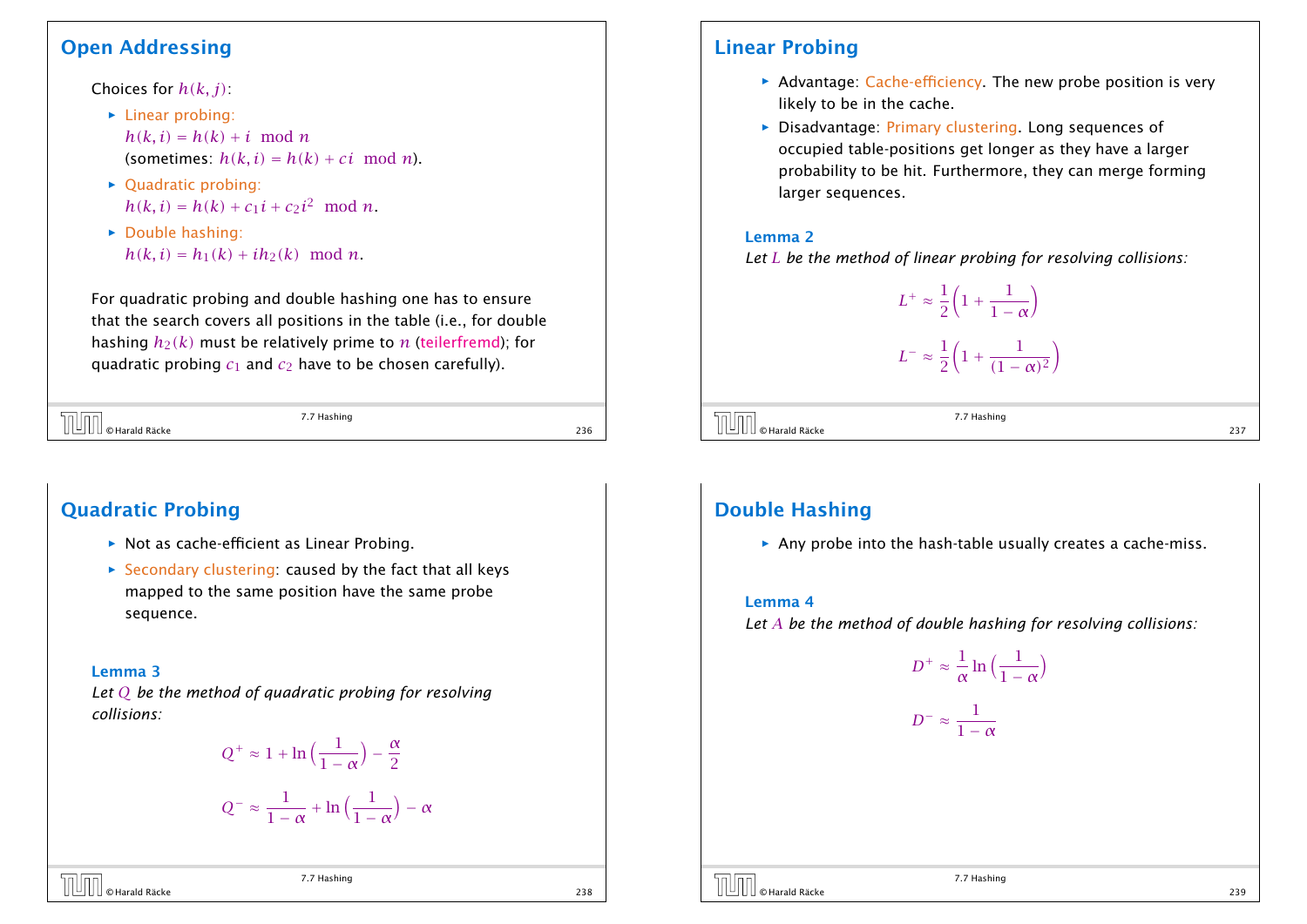### Open Addressing

Choices for *h(k, j)*:

- ▶ Linear probing:  $h(k, i) = h(k) + i \mod n$ (sometimes:  $h(k, i) = h(k) + ci \mod n$ ).
- ▶ Quadratic probing:  $h(k, i) = h(k) + c_1 i + c_2 i^2 \mod n$ .
- **F** Double hashing:  $h(k, i) = h_1(k) + ih_2(k) \mod n$ .

For quadratic probing and double hashing one has to ensure that the search covers all positions in the table (i.e., for double hashing  $h_2(k)$  must be relatively prime to  $n$  (teilerfremd); for quadratic probing  $c_1$  and  $c_2$  have to be chosen carefully).

 $\begin{array}{|c|c|}\hline \text{[O]} & \text{[O]} \\\hline \text{[O]} & \text{[O]} & \text{[O]} \\\hline \text{[O]} & \text{[O]} & \text{[O]} \\\hline \end{array}$  236

7.7 Hashing

## Quadratic Probing

- ▶ Not as cache-efficient as Linear Probing.
- ▶ Secondary clustering: caused by the fact that all keys mapped to the same position have the same probe sequence.

#### Lemma 3

*Let Q be the method of quadratic probing for resolving collisions:*

$$
Q^{+} \approx 1 + \ln\left(\frac{1}{1-\alpha}\right) - \frac{\alpha}{2}
$$

$$
Q^{-} \approx \frac{1}{1-\alpha} + \ln\left(\frac{1}{1-\alpha}\right) - \alpha
$$

## $\overline{1}$   $\overline{2}$   $\overline{0}$   $\overline{0}$   $\overline{0}$   $\overline{0}$   $\overline{0}$   $\overline{0}$   $\overline{0}$   $\overline{0}$   $\overline{0}$   $\overline{0}$   $\overline{0}$   $\overline{0}$   $\overline{0}$   $\overline{0}$   $\overline{0}$   $\overline{0}$   $\overline{0}$   $\overline{0}$   $\overline{0}$   $\overline{0}$   $\overline{0}$   $\overline{0}$   $\overline{$

7.7 Hashing

### Linear Probing

- **Advantage: Cache-efficiency. The new probe position is very** likely to be in the cache.
- **Disadvantage: Primary clustering. Long sequences of** occupied table-positions get longer as they have a larger probability to be hit. Furthermore, they can merge forming larger sequences.

#### Lemma 2

*Let L be the method of linear probing for resolving collisions:*

$$
L^{+} \approx \frac{1}{2} \left( 1 + \frac{1}{1 - \alpha} \right)
$$
  

$$
L^{-} \approx \frac{1}{2} \left( 1 + \frac{1}{(1 - \alpha)^{2}} \right)
$$

 $(1 - \alpha)^2$ 

 $\overline{O}$   $\overline{O}$   $\overline{O}$   $\overline{O}$   $\overline{O}$   $\overline{O}$   $\overline{O}$   $\overline{O}$   $\overline{O}$   $\overline{O}$   $\overline{O}$   $\overline{O}$   $\overline{O}$   $\overline{O}$   $\overline{O}$   $\overline{O}$   $\overline{O}$   $\overline{O}$   $\overline{O}$   $\overline{O}$   $\overline{O}$   $\overline{O}$   $\overline{O}$   $\overline{O}$   $\overline{$ 

7.7 Hashing

2

## Double Hashing

**Any probe into the hash-table usually creates a cache-miss.** 

#### Lemma 4

*Let A be the method of double hashing for resolving collisions:*

$$
D^{+} \approx \frac{1}{\alpha} \ln \left( \frac{1}{1 - \alpha} \right)
$$

$$
D^{-} \approx \frac{1}{1 - \alpha}
$$

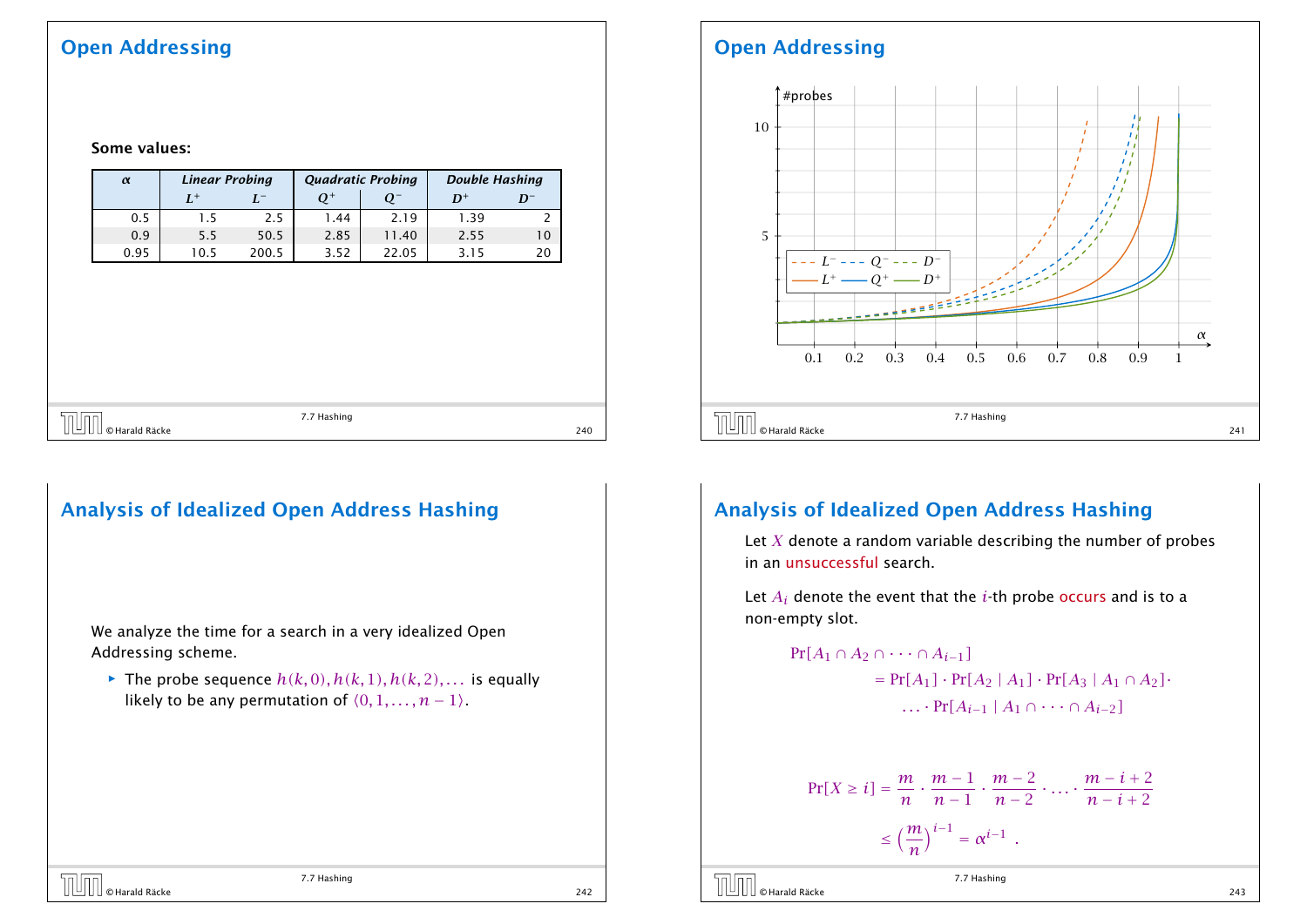## Open Addressing

Some values:

*α Linear Probing Quadratic Probing Double Hashing*  $L^+$  $L^-$ <sup>−</sup> *Q*<sup>+</sup> *Q*<sup>−</sup> *D*<sup>+</sup> *D*<sup>−</sup> 0.5 1.5 2.5 1.44 2.19 1.39 2

| 5.5            |     |
|----------------|-----|
| © Harald Räcke | 240 |

0.9 | 5.5 | 50.5 | 2.85 | 11.40 | 2.55 | 10 0.95 10.5 200.5 3.52 22.05 3.15 20

## Analysis of Idealized Open Address Hashing

We analyze the time for a search in a very idealized Open Addressing scheme.

 $\blacktriangleright$  The probe sequence  $h(k, 0), h(k, 1), h(k, 2), \ldots$  is equally likely to be any permutation of  $(0, 1, \ldots, n - 1)$ .

7.7 Hashing  $\boxed{\Box\Box\Box}$   $\odot$  Harald Räcke 242  $\Box$  242  $\Box$  242  $\Box$  242  $\Box$  242  $\Box$  242  $\Box$ 

## Open Addressing



### Analysis of Idealized Open Address Hashing

Let *X* denote a random variable describing the number of probes in an unsuccessful search.

Let  $A_i$  denote the event that the  $i$ -th probe occurs and is to a non-empty slot.

 $Pr[A_1 \cap A_2 \cap \cdots \cap A_{i-1}]$  $= Pr[A_1] \cdot Pr[A_2 | A_1] \cdot Pr[A_3 | A_1 \cap A_2]$ *. . .* · Pr*[Ai*−<sup>1</sup> | *A*<sup>1</sup> ∩ · · · ∩ *Ai*−2*]*

$$
\Pr[X \ge i] = \frac{m}{n} \cdot \frac{m-1}{n-1} \cdot \frac{m-2}{n-2} \cdot \dots \cdot \frac{m-i+2}{n-i+2}
$$

$$
\le \left(\frac{m}{n}\right)^{i-1} = \alpha^{i-1} .
$$

```
© Harald Räcke 243
```
7.7 Hashing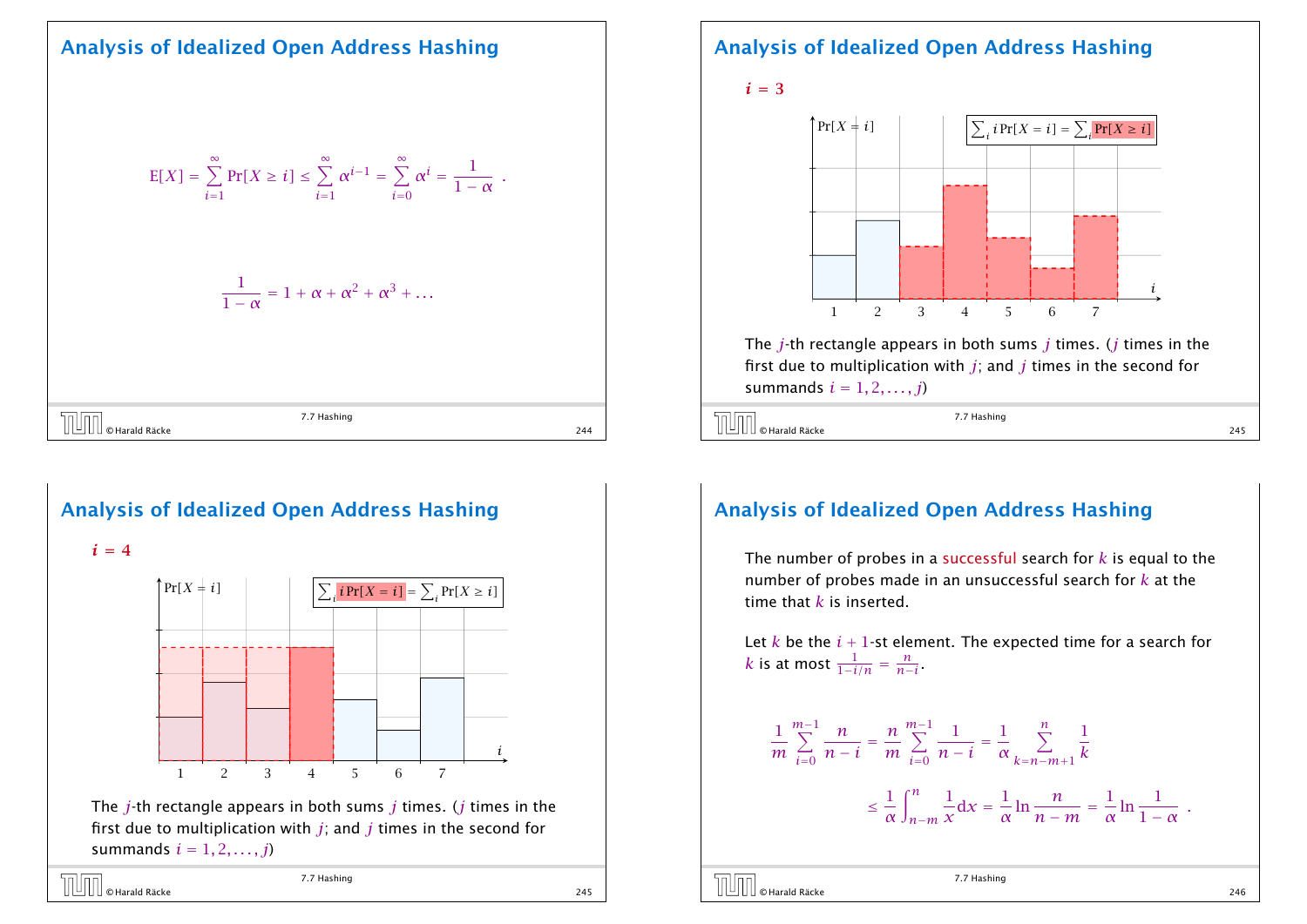### Analysis of Idealized Open Address Hashing

$$
E[X] = \sum_{i=1}^{\infty} Pr[X \ge i] \le \sum_{i=1}^{\infty} \alpha^{i-1} = \sum_{i=0}^{\infty} \alpha^{i} = \frac{1}{1-\alpha} .
$$
  

$$
\frac{1}{1-\alpha} = 1 + \alpha + \alpha^{2} + \alpha^{3} + ...
$$
  

$$
\boxed{\text{III}}_{\text{a.} \text{Harda Räcke}}
$$
  
*7.7* Hashing



 $i = 4$ 



The *j*-th rectangle appears in both sums *j* times. (*j* times in the first due to multiplication with *j*; and *j* times in the second for summands  $i = 1, 2, \ldots, j$ 

© Harald Räcke 245

7.7 Hashing

#### Analysis of Idealized Open Address Hashing





The *j*-th rectangle appears in both sums *j* times. (*j* times in the first due to multiplication with *j*; and *j* times in the second for summands  $i = 1, 2, \ldots, j$ 

$$
7.7 \text{ Hashing}
$$
\n0 Harald Räcke

\n

### Analysis of Idealized Open Address Hashing

The number of probes in a successful search for *k* is equal to the number of probes made in an unsuccessful search for *k* at the time that *k* is inserted.

Let  $k$  be the  $i + 1$ -st element. The expected time for a search for  $k$  is at most  $\frac{1}{1-i/n} = \frac{n}{n-1}$  $\frac{n}{n-i}$ 

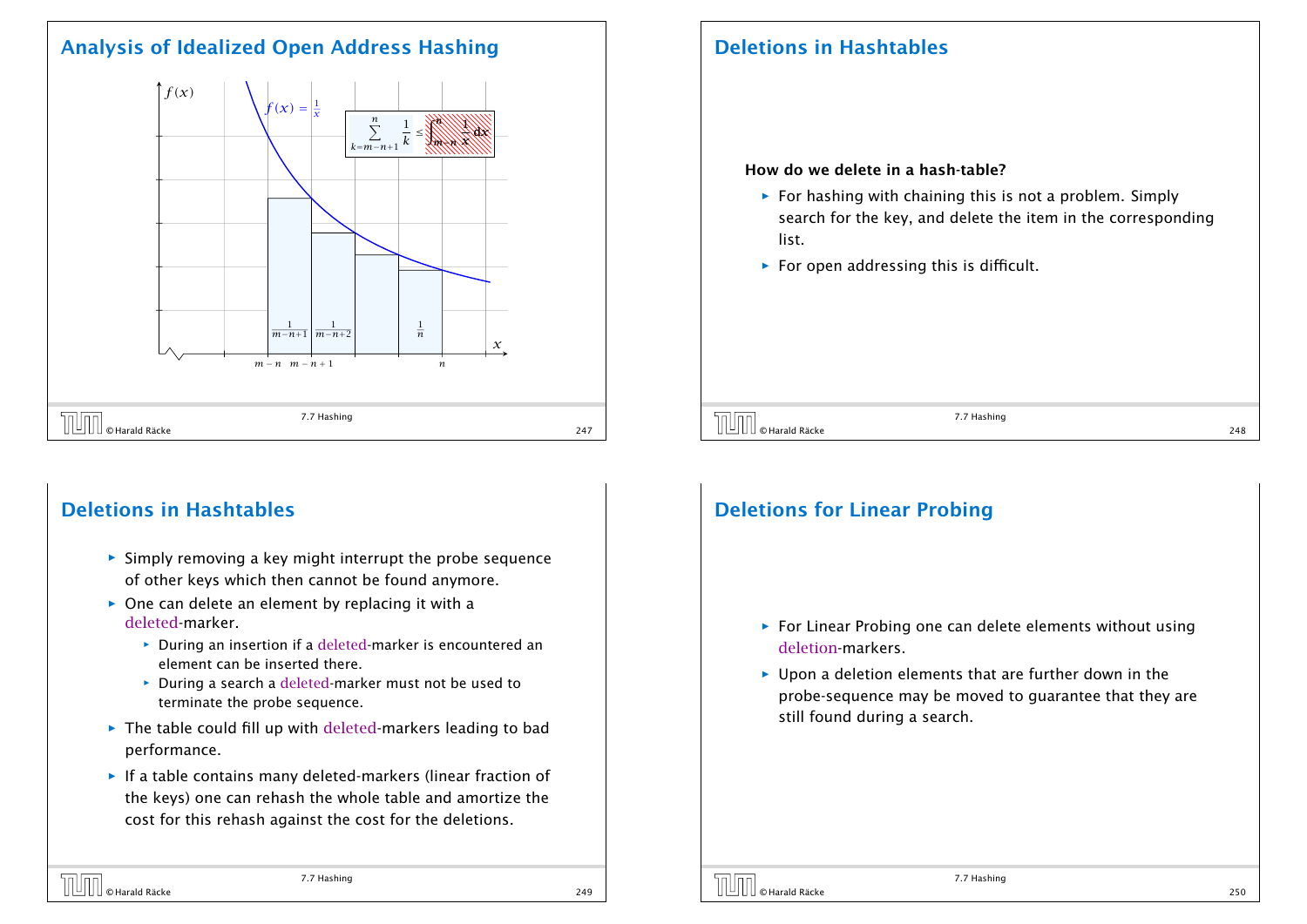## Analysis of Idealized Open Address Hashing



## Deletions in Hashtables

- **Fig. 5** Simply removing a key might interrupt the probe sequence of other keys which then cannot be found anymore.
- **▶ One can delete an element by replacing it with a** deleted-marker.
	- **▶** During an insertion if a deleted-marker is encountered an element can be inserted there.
	- **▶ During a search a deleted-marker must not be used to** terminate the probe sequence.
- ▶ The table could fill up with deleted-markers leading to bad performance.
- **F** If a table contains many deleted-markers (linear fraction of the keys) one can rehash the whole table and amortize the cost for this rehash against the cost for the deletions.

## Deletions in Hashtables

#### How do we delete in a hash-table?

- **For hashing with chaining this is not a problem. Simply** search for the key, and delete the item in the corresponding list.
- ▶ For open addressing this is difficult.

 $\overline{C}$   $\overline{C}$   $\overline{C}$  Harald Räcke 248  $\overline{C}$   $\overline{C}$   $\overline{C}$   $\overline{C}$   $\overline{C}$   $\overline{C}$   $\overline{C}$   $\overline{C}$   $\overline{C}$   $\overline{C}$   $\overline{C}$   $\overline{C}$   $\overline{C}$   $\overline{C}$   $\overline{C}$   $\overline{C}$   $\overline{C}$   $\overline{C}$   $\overline{C}$   $\overline{C$ 

7.7 Hashing

## Deletions for Linear Probing

- ▶ For Linear Probing one can delete elements without using deletion-markers.
- ▶ Upon a deletion elements that are further down in the probe-sequence may be moved to guarantee that they are still found during a search.

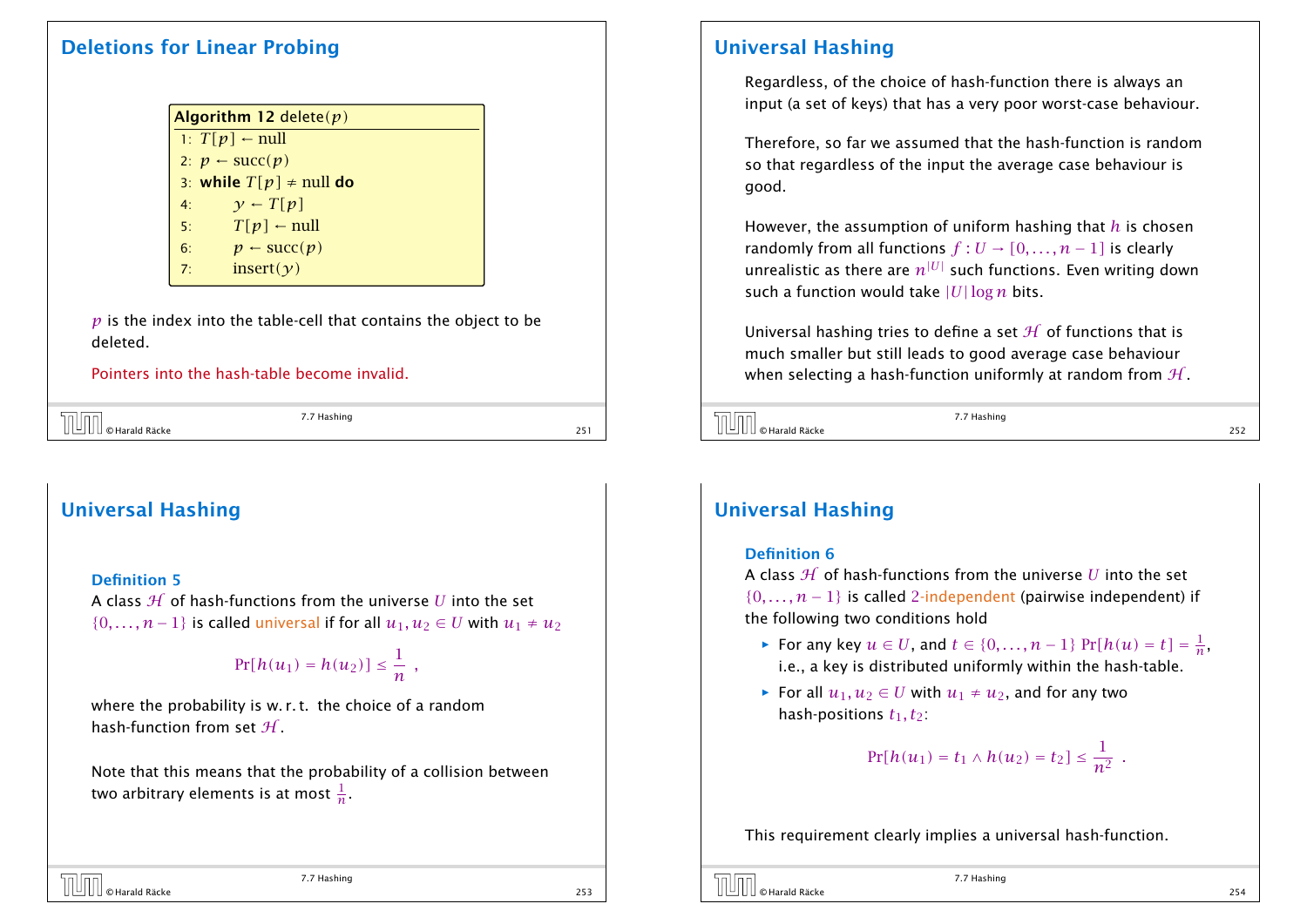### Deletions for Linear Probing

|                | Algorithm 12 delete $(p)$           |
|----------------|-------------------------------------|
|                | 1: $T[p] \leftarrow null$           |
|                | 2: $p \leftarrow succ(p)$           |
|                | 3: while $T[p] \neq \text{null}$ do |
| 4:             | $\gamma$ – $T[p]$                   |
| 5:             | $T[p]$ – null                       |
| 6:             | $p \leftarrow \text{succ}(p)$       |
| $\overline{7}$ | insert $(y)$                        |

*p* is the index into the table-cell that contains the object to be deleted.

Pointers into the hash-table become invalid.

| <b>TUTT</b> © Harald Räcke | 7.7 Hashing |  |
|----------------------------|-------------|--|
|                            |             |  |

## Universal Hashing

#### Definition 5

A class  $H$  of hash-functions from the universe  $U$  into the set  $\{0,\ldots,n-1\}$  is called universal if for all  $u_1, u_2 \in U$  with  $u_1 \neq u_2$ 

$$
\Pr[h(u_1)=h(u_2)]\leq \frac{1}{n} ,
$$

where the probability is w. r. t. the choice of a random hash-function from set  $H$ .

Note that this means that the probability of a collision between two arbitrary elements is at most  $\frac{1}{n}.$ 

### Universal Hashing

Regardless, of the choice of hash-function there is always an input (a set of keys) that has a very poor worst-case behaviour.

Therefore, so far we assumed that the hash-function is random so that regardless of the input the average case behaviour is good.

However, the assumption of uniform hashing that *h* is chosen randomly from all functions  $f: U \to [0, \ldots, n-1]$  is clearly unrealistic as there are  $n^{|U|}$  such functions. Even writing down such a function would take |*U*|log *n* bits.

Universal hashing tries to define a set  $H$  of functions that is much smaller but still leads to good average case behaviour when selecting a hash-function uniformly at random from  $H$ .

 $\overline{C}$   $\overline{C}$   $\overline{C}$  Harald Räcke 252<br>252<br>252<br>252

7.7 Hashing

## Universal Hashing

#### Definition 6

A class H of hash-functions from the universe *U* into the set  $\{0, \ldots, n-1\}$  is called 2-independent (pairwise independent) if the following two conditions hold

- *►* For any key  $u \in U$ , and  $t \in \{0, \ldots, n-1\}$   $\Pr[h(u) = t] = \frac{1}{n}$  $\frac{1}{n}$ , i.e., a key is distributed uniformly within the hash-table.
- *►* For all  $u_1, u_2 \in U$  with  $u_1 \neq u_2$ , and for any two hash-positions  $t_1, t_2$ :

$$
Pr[h(u_1) = t_1 \wedge h(u_2) = t_2] \leq \frac{1}{n^2} .
$$

This requirement clearly implies a universal hash-function.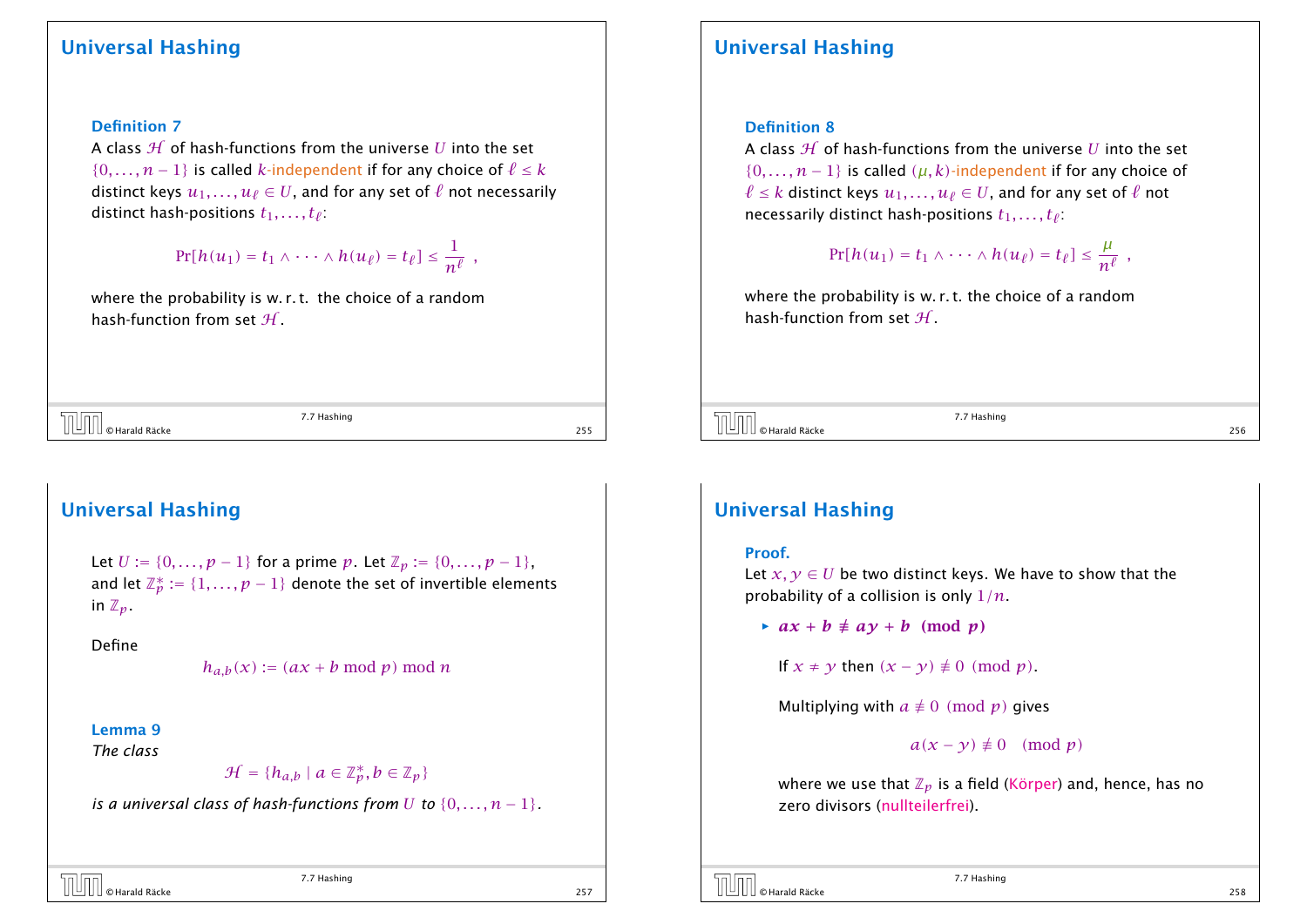#### Definition 7

A class  $H$  of hash-functions from the universe *U* into the set  $\{0, \ldots, n-1\}$  is called *k*-independent if for any choice of  $\ell \leq k$ distinct keys  $u_1, \ldots, u_\ell \in U$ , and for any set of  $\ell$  not necessarily distinct hash-positions  $t_1, \ldots, t_\ell$ :

> $Pr[h(u_1) = t_1 \wedge \cdots \wedge h(u_\ell) = t_\ell] \leq \frac{1}{n^{\ell}}$  $\frac{1}{n^{\ell}}$  ,

where the probability is w.r.t. the choice of a random hash-function from set  $H$ .

 $\overline{C}$   $\overline{C}$   $\overline{C}$   $\overline{C}$   $\overline{C}$   $\overline{C}$   $\overline{C}$   $\overline{C}$   $\overline{C}$   $\overline{C}$   $\overline{C}$   $\overline{C}$   $\overline{C}$   $\overline{C}$   $\overline{C}$   $\overline{C}$   $\overline{C}$   $\overline{C}$   $\overline{C}$   $\overline{C}$   $\overline{C}$   $\overline{C}$   $\overline{C}$   $\overline{C}$   $\overline{$ 

7.7 Hashing

### Universal Hashing

Let *U* := {0, . . . , *p* − 1} for a prime *p*. Let  $\mathbb{Z}_p$  := {0, . . . , *p* − 1}, and let  $\mathbb{Z}_p^* := \{1,\ldots,p-1\}$  denote the set of invertible elements in  $\mathbb{Z}_p$ .

Define

 $h_{a,b}(x) := (ax + b \mod p) \mod n$ 

#### Lemma 9

*The class*

 $\mathcal{H} = \{h_{a,b} \mid a \in \mathbb{Z}_p^*, b \in \mathbb{Z}_p\}$ 

*is a universal class of hash-functions from U* to  $\{0, \ldots, n-1\}$ .

7.7 Hashing  $\overline{C}$   $\overline{C}$   $\overline{C}$   $\overline{C}$   $\overline{C}$   $\overline{C}$   $\overline{C}$   $\overline{C}$   $\overline{C}$   $\overline{C}$   $\overline{C}$   $\overline{C}$   $\overline{C}$   $\overline{C}$   $\overline{C}$   $\overline{C}$   $\overline{C}$   $\overline{C}$   $\overline{C}$   $\overline{C}$   $\overline{C}$   $\overline{C}$   $\overline{C}$   $\overline{C}$   $\overline{$ 

### Universal Hashing

#### Definition 8

A class H of hash-functions from the universe *U* into the set  $\{0, \ldots, n-1\}$  is called  $(\mu, k)$ -independent if for any choice of *ℓ* ≤ *k* distinct keys  $u_1, ..., u_\ell$  ∈ *U*, and for any set of  $\ell$  not necessarily distinct hash-positions  $t_1, \ldots, t_\ell$  :

$$
Pr[h(u_1) = t_1 \wedge \cdots \wedge h(u_{\ell}) = t_{\ell}] \leq \frac{\mu}{n^{\ell}} ,
$$

where the probability is w. r. t. the choice of a random hash-function from set  $H$ .

 $\overline{O}$   $\overline{O}$   $\overline{O}$  Harald Räcke 256  $\overline{O}$   $\overline{O}$   $\overline{O}$   $\overline{O}$   $\overline{O}$   $\overline{O}$   $\overline{O}$   $\overline{O}$   $\overline{O}$   $\overline{O}$   $\overline{O}$   $\overline{O}$   $\overline{O}$   $\overline{O}$   $\overline{O}$   $\overline{O}$   $\overline{O}$   $\overline{O}$   $\overline{O}$   $\overline{O$ 

7.7 Hashing

### Universal Hashing

#### Proof.

Let  $x, y \in U$  be two distinct keys. We have to show that the probability of a collision is only 1*/n*.

 $\rightarrow ax + b \neq av + b \pmod{p}$ 

If  $x \neq y$  then  $(x - y) \neq 0 \pmod{p}$ .

Multiplying with  $a \not\equiv 0 \pmod{p}$  gives

 $a(x - y) \neq 0 \pmod{p}$ 

where we use that  $\mathbb{Z}_p$  is a field (Körper) and, hence, has no zero divisors (nullteilerfrei).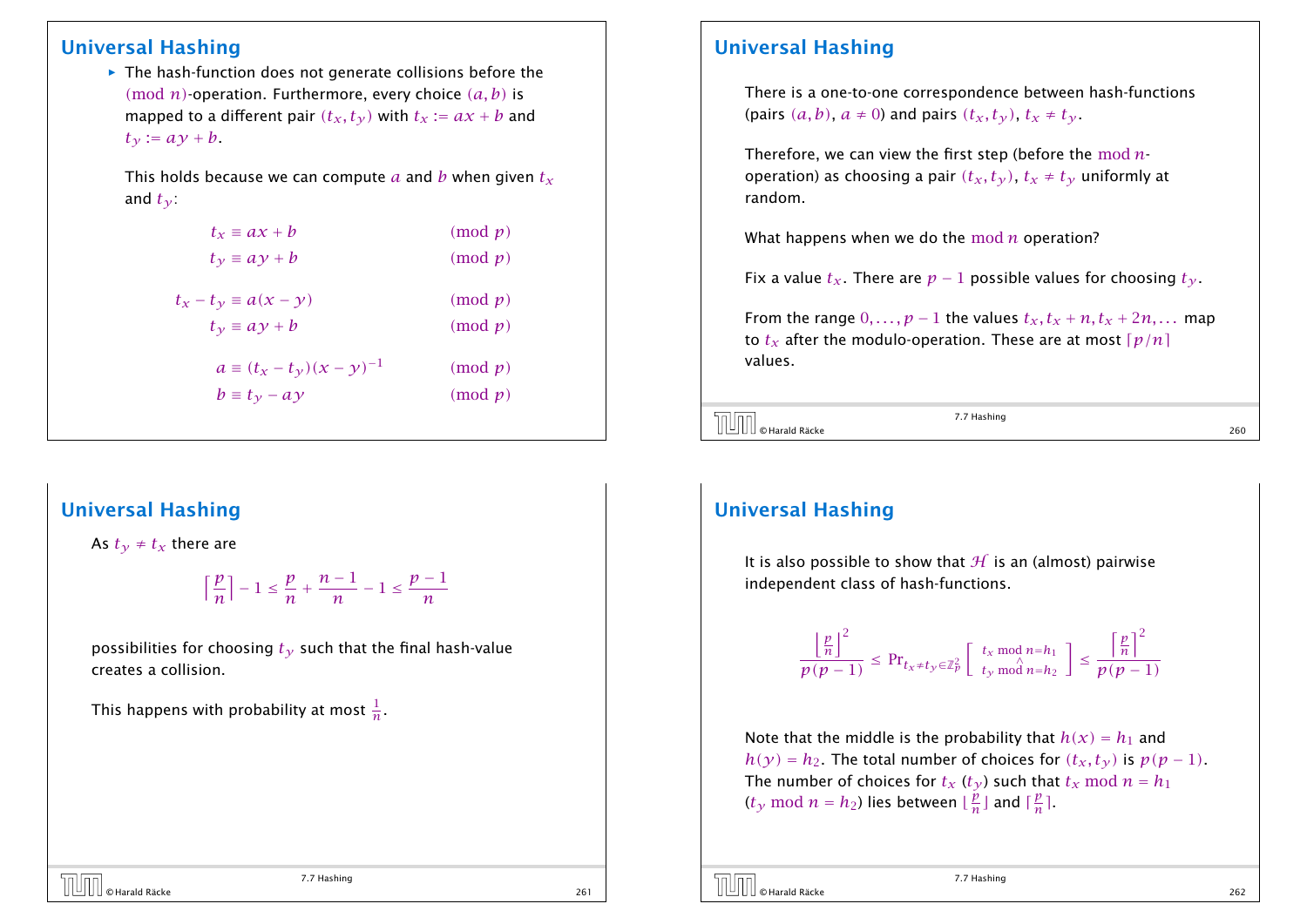▶ The hash-function does not generate collisions before the *(*mod *n)*-operation. Furthermore, every choice *(a, b)* is mapped to a different pair  $(t_x, t_y)$  with  $t_x := ax + b$  and  $t_{\gamma}$  :=  $a\gamma + b$ .

This holds because we can compute *a* and *b* when given *t<sup>x</sup>* and  $t_v$ :

| $t_x \equiv ax + b$                | $\pmod{p}$ |
|------------------------------------|------------|
| $t_{\gamma} \equiv a \gamma + b$   | $\pmod{p}$ |
| $t_x - t_y \equiv a(x - y)$        | $\pmod{p}$ |
| $t_v \equiv ay + b$                | $\pmod{p}$ |
| $a \equiv (t_x - t_y)(x - y)^{-1}$ | $\pmod{p}$ |
| $b \equiv t_{\gamma} - ay$         | $\pmod{p}$ |
|                                    |            |

## Universal Hashing

As  $t<sub>y</sub> \neq t<sub>x</sub>$  there are

$$
\left\lceil\frac{p}{n}\right\rceil - 1 \le \frac{p}{n} + \frac{n-1}{n} - 1 \le \frac{p-1}{n}
$$

7.7 Hashing  $\overline{C}$   $\overline{C}$   $\overline{C}$   $\overline{C}$   $\overline{C}$   $\overline{C}$   $\overline{C}$   $\overline{C}$   $\overline{C}$   $\overline{C}$   $\overline{C}$   $\overline{C}$   $\overline{C}$   $\overline{C}$   $\overline{C}$   $\overline{C}$   $\overline{C}$   $\overline{C}$   $\overline{C}$   $\overline{C}$   $\overline{C}$   $\overline{C}$   $\overline{C}$   $\overline{C}$   $\overline{$ 

possibilities for choosing  $t<sub>y</sub>$  such that the final hash-value creates a collision.

This happens with probability at most  $\frac{1}{n}.$ 

## Universal Hashing

There is a one-to-one correspondence between hash-functions (pairs  $(a, b)$ ,  $a \ne 0$ ) and pairs  $(t_x, t_y)$ ,  $t_x \ne t_y$ .

Therefore, we can view the first step (before the mod *n*operation) as choosing a pair  $(t_x, t_y)$ ,  $t_x \neq t_y$  uniformly at random.

What happens when we do the mod *n* operation?

Fix a value  $t_x$ . There are  $p-1$  possible values for choosing  $t_y$ .

From the range  $0, \ldots, p-1$  the values  $t_x, t_x + n, t_x + 2n, \ldots$  map to  $t_x$  after the modulo-operation. These are at most  $\lceil p/n \rceil$ values.

 $\overline{C}$   $\overline{C}$   $\overline{C}$   $\overline{C}$   $\overline{C}$   $\overline{C}$   $\overline{C}$   $\overline{C}$   $\overline{C}$   $\overline{C}$   $\overline{C}$   $\overline{C}$   $\overline{C}$   $\overline{C}$   $\overline{C}$   $\overline{C}$   $\overline{C}$   $\overline{C}$   $\overline{C}$   $\overline{C}$   $\overline{C}$   $\overline{C}$   $\overline{C}$   $\overline{C}$   $\overline{$ 

7.7 Hashing

## Universal Hashing

It is also possible to show that  $H$  is an (almost) pairwise independent class of hash-functions.

$$
\frac{\left\lfloor \frac{p}{n} \right\rfloor^2}{p(p-1)} \le \Pr_{t_x \ne t_y \in \mathbb{Z}_p^2} \left[ \begin{array}{c} t_x \bmod n = h_1 \\ t_y \bmod n = h_2 \end{array} \right] \le \frac{\left\lceil \frac{p}{n} \right\rceil^2}{p(p-1)}
$$

Note that the middle is the probability that  $h(x) = h_1$  and *h*(*y*) = *h*<sub>2</sub>. The total number of choices for  $(t_x, t_y)$  is  $p(p-1)$ . The number of choices for  $t_x$  ( $t_y$ ) such that  $t_x$  mod  $n = h_1$  $(t_{\mathcal{Y}} \bmod n = h_2)$  lies between  $\lfloor \frac{p}{n} \rfloor$  $\frac{p}{n}$ ] and  $\lceil \frac{p}{n} \rceil$  $\frac{p}{n}$ ].

 $\overline{C}$   $\overline{C}$   $\overline{C}$   $\overline{C}$  Harald Räcke 262<br>262<br>262<br>262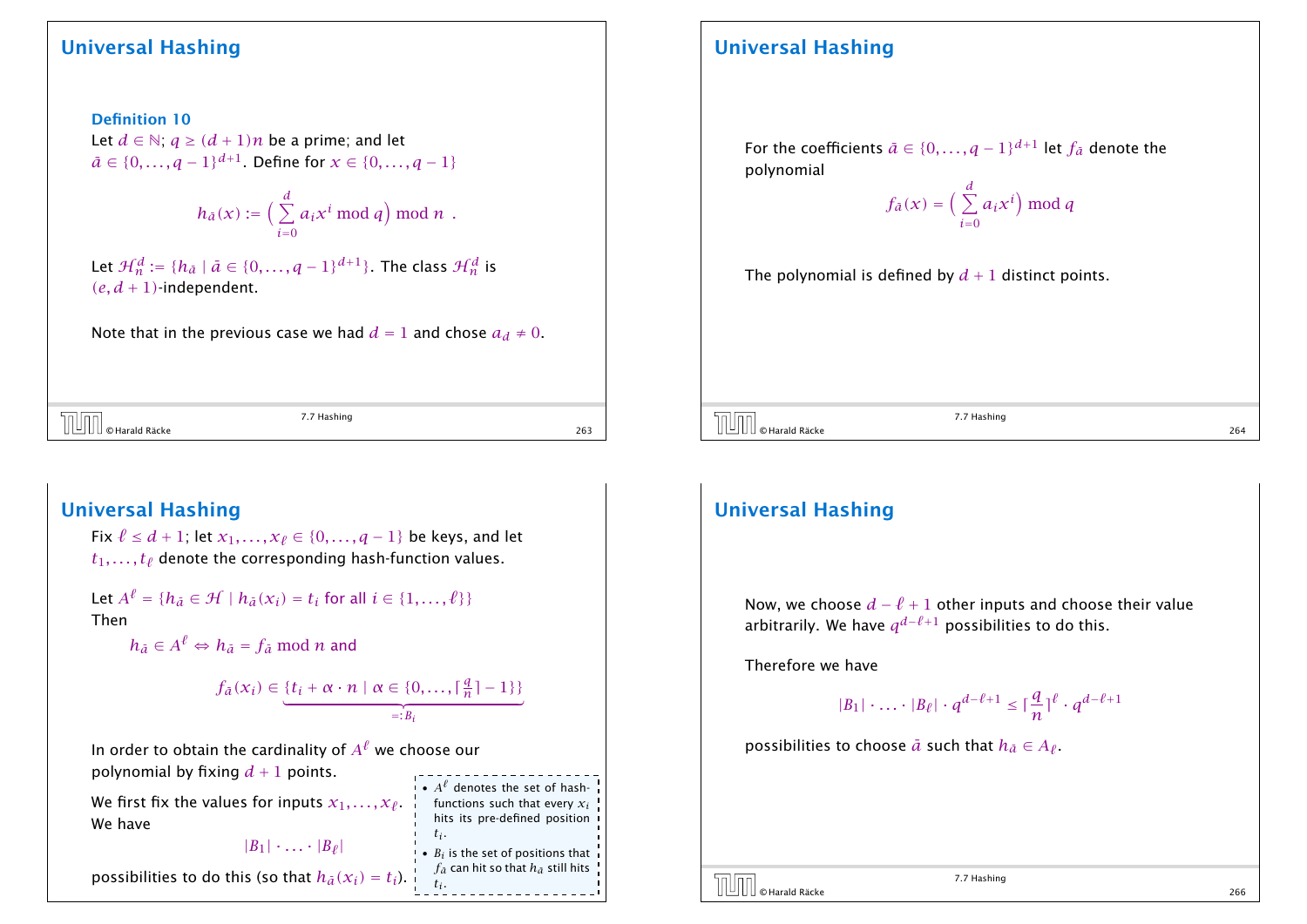Definition 10 Let  $d \in \mathbb{N}$ ;  $q \geq (d+1)n$  be a prime; and let  $\bar{a} \in \{0, ..., q - 1\}^{d+1}$ . Define for *x* ∈ {0, ..., *q* − 1}

$$
h_{\bar{a}}(x) := \Big(\sum_{i=0}^d a_i x^i \bmod q\Big) \bmod n.
$$

Let  $\mathcal{H}_n^d := \{ h_{\bar{a}} \mid \bar{a} \in \{0, \ldots, q-1\}^{d+1} \}$ . The class  $\mathcal{H}_n^d$  is  $(e, d + 1)$ -independent.

Note that in the previous case we had  $d = 1$  and chose  $a_d \neq 0$ .

 $\overline{C}$   $\overline{C}$   $\overline{C}$   $\overline{C}$   $\overline{C}$   $\overline{C}$   $\overline{C}$   $\overline{C}$   $\overline{C}$   $\overline{C}$   $\overline{C}$   $\overline{C}$   $\overline{C}$   $\overline{C}$   $\overline{C}$   $\overline{C}$   $\overline{C}$   $\overline{C}$   $\overline{C}$   $\overline{C}$   $\overline{C}$   $\overline{C}$   $\overline{C}$   $\overline{C}$   $\overline{$ 

7.7 Hashing

functions such that every *x<sup>i</sup>* hits its pre-defined position

•  $B_i$  is the set of positions that  $f_{\bar{a}}$  can hit so that  $h_{\bar{a}}$  still hits

*ti* .

*ti* .

### Universal Hashing

Fix  $\ell \le d + 1$ ; let  $x_1, ..., x_\ell$  ∈ {0, ..., *q* − 1} be keys, and let  $t_1, \ldots, t_\ell$  denote the corresponding hash-function values.

Let  $A^{\ell} = \{h_{\bar{a}} \in \mathcal{H} \mid h_{\bar{a}}(x_i) = t_i \text{ for all } i \in \{1, \ldots, \ell\}\}\$ Then

 $h_{\bar{a}} \in A^{\ell} \Leftrightarrow h_{\bar{a}} = f_{\bar{a}} \bmod n$  and

$$
f_{\tilde{a}}(x_i) \in \underbrace{\{t_i + \alpha \cdot n \mid \alpha \in \{0, \dots, \lceil \frac{q}{n} \rceil - 1\}\}}_{=:B_i}
$$

In order to obtain the cardinality of  $A^{\ell}$  we choose our polynomial by fixing  $d + 1$  points.  $A^{\ell}$  denotes the set of hash-

We first fix the values for inputs  $x_1, \ldots, x_\ell$  . We have

# $|B_1|$   $\cdots$   $|B_\ell|$

possibilities to do this (so that  $h_{\bar{a}}(x_i) = t_i$ ).

## Universal Hashing

For the coefficients  $\bar{a} \in \{0, \ldots, q - 1\}^{d+1}$  let  $f_{\bar{a}}$  denote the polynomial

$$
f_{\tilde{a}}(x) = \Big(\sum_{i=0}^{d} a_i x^i\Big) \bmod q
$$

The polynomial is defined by  $d + 1$  distinct points.

 $\overline{C}$   $\overline{C}$   $\overline{C}$   $\overline{C}$   $\overline{C}$   $\overline{C}$   $\overline{C}$   $\overline{C}$   $\overline{C}$   $\overline{C}$   $\overline{C}$   $\overline{C}$   $\overline{C}$   $\overline{C}$   $\overline{C}$   $\overline{C}$   $\overline{C}$   $\overline{C}$   $\overline{C}$   $\overline{C}$   $\overline{C}$   $\overline{C}$   $\overline{C}$   $\overline{C}$   $\overline{$ 

7.7 Hashing

### Universal Hashing

Now, we choose  $d - \ell + 1$  other inputs and choose their value arbitrarily. We have *q <sup>d</sup>*−*`*+<sup>1</sup> possibilities to do this.

Therefore we have

$$
|B_1| \cdot \ldots \cdot |B_\ell| \cdot q^{d-\ell+1} \leq \lceil \frac{q}{n} \rceil^\ell \cdot q^{d-\ell+1}
$$

possibilities to choose  $\bar{a}$  such that  $h_{\bar{a}} \in A_{\ell}$ .

© Harald Räcke 266

7.7 Hashing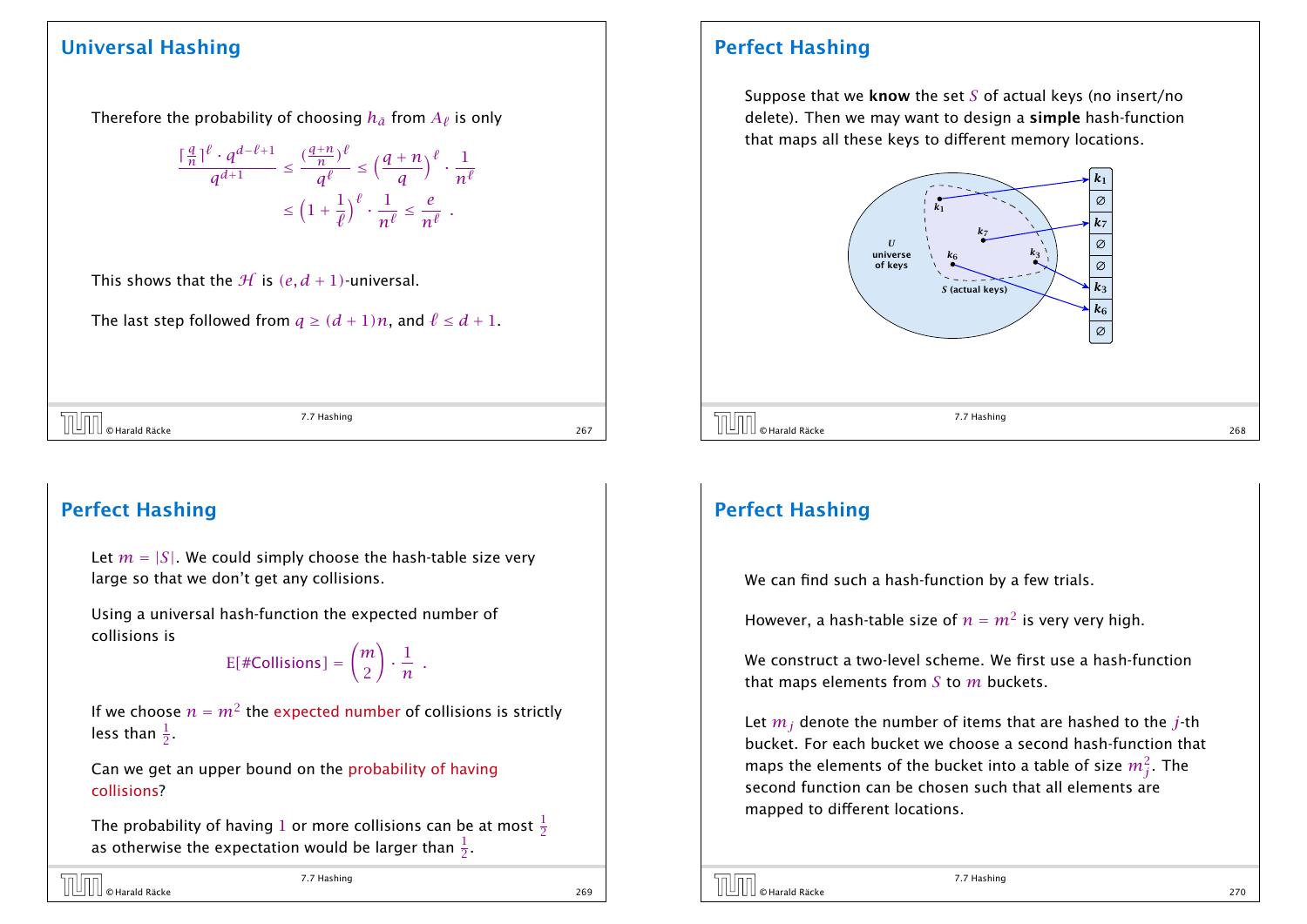Therefore the probability of choosing  $h_{\tilde{a}}$  from  $A_\ell$  is only

$$
\frac{\lceil \frac{q}{n} \rceil^{\ell} \cdot q^{d-\ell+1}}{q^{d+1}} \le \frac{(\frac{q+n}{n})^{\ell}}{q^{\ell}} \le \left(\frac{q+n}{q}\right)^{\ell} \cdot \frac{1}{n^{\ell}}
$$

$$
\le \left(1 + \frac{1}{\ell}\right)^{\ell} \cdot \frac{1}{n^{\ell}} \le \frac{e}{n^{\ell}}.
$$

This shows that the  $H$  is  $(e, d + 1)$ -universal.

The last step followed from  $q \geq (d+1)n$ , and  $\ell \leq d+1$ .

 $\overline{O}$  OHarald Räcke 267 (267) 27.7 Hashing 267 (267) 267 (267) 27.7 Hashing 267 (267) 287 (267) 267 (267) 27.7 Hashing 267 (267) 27.7 Hashing 267 (267) 287 (267) 287 (267) 287 (267) 287 (267) 287 (267) 287 (267) 287 (2

7.7 Hashing

## Perfect Hashing

Let  $m = |S|$ . We could simply choose the hash-table size very large so that we don't get any collisions.

Using a universal hash-function the expected number of collisions is

E*[*#Collisions*]* = *m* 2 ! · 1  $\frac{1}{n}$ .

If we choose  $n = m^2$  the expected number of collisions is strictly less than  $\frac{1}{2}$ .

Can we get an upper bound on the probability of having collisions?

The probability of having  $1$  or more collisions can be at most  $\frac{1}{2}$ as otherwise the expectation would be larger than  $\frac{1}{2}.$ 

## Perfect Hashing

Suppose that we know the set *S* of actual keys (no insert/no delete). Then we may want to design a simple hash-function that maps all these keys to different memory locations.



## Perfect Hashing

We can find such a hash-function by a few trials.

However, a hash-table size of  $n = m^2$  is very very high.

We construct a two-level scheme. We first use a hash-function that maps elements from *S* to *m* buckets.

Let *m<sup>j</sup>* denote the number of items that are hashed to the *j*-th bucket. For each bucket we choose a second hash-function that maps the elements of the bucket into a table of size  $m_j^2.$  The second function can be chosen such that all elements are mapped to different locations.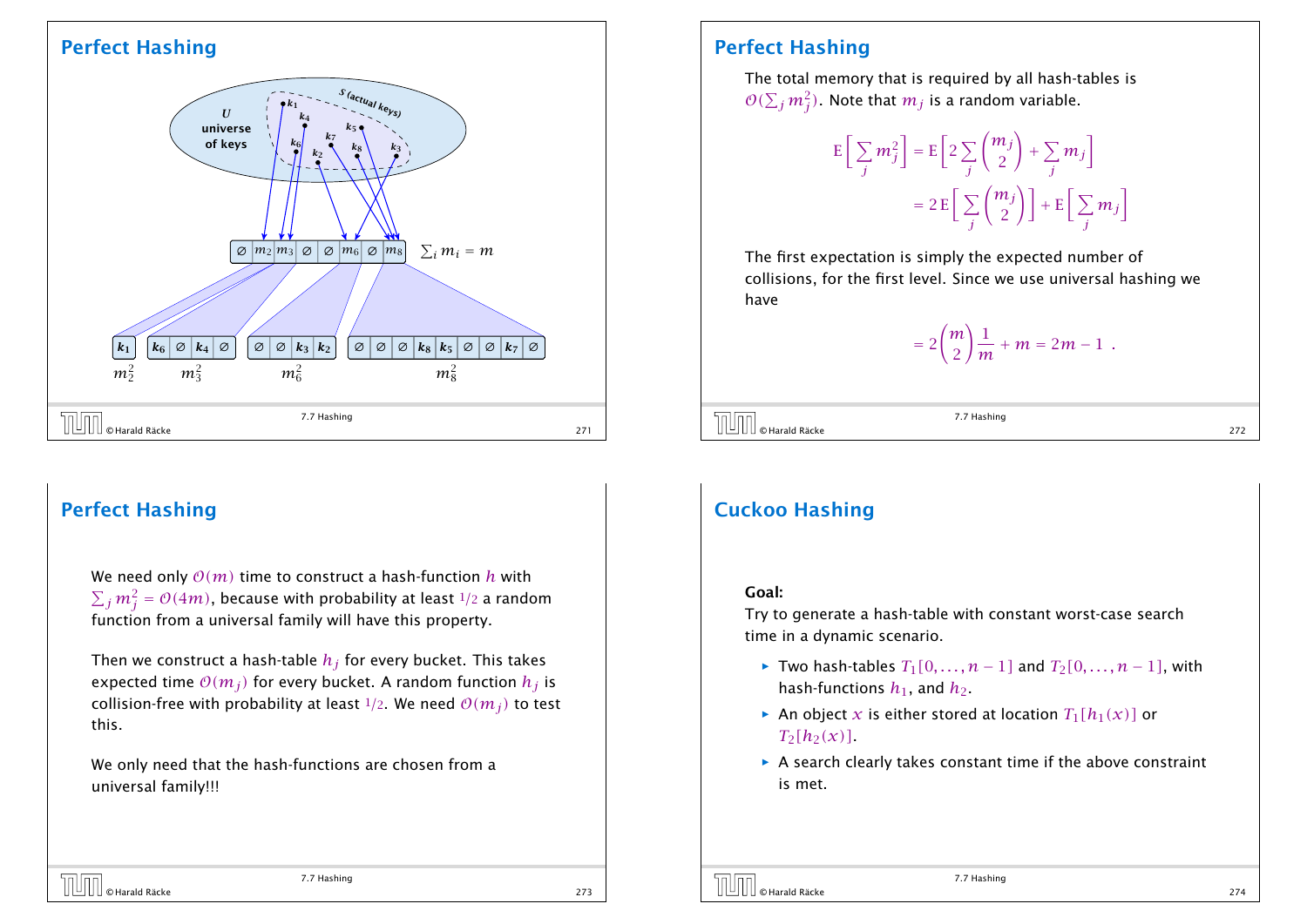

## Perfect Hashing

We need only  $O(m)$  time to construct a hash-function *h* with  $\sum_j m_j^2 = \mathcal{O}(4m)$ , because with probability at least  $1/2$  a random function from a universal family will have this property.

Then we construct a hash-table *h<sup>j</sup>* for every bucket. This takes expected time  $O(m_i)$  for every bucket. A random function  $h_i$  is collision-free with probability at least  $\frac{1}{2}$ . We need  $O(m_i)$  to test this.

We only need that the hash-functions are chosen from a universal family!!!

## Perfect Hashing

The total memory that is required by all hash-tables is  $\mathcal{O}(\sum_j m_j^2).$  Note that  $m_j$  is a random variable.

$$
E\left[\sum_{j} m_j^2\right] = E\left[2\sum_{j} {m_j \choose 2} + \sum_{j} m_j\right]
$$

$$
= 2E\left[\sum_{j} {m_j \choose 2}\right] + E\left[\sum_{j} m_j\right]
$$

The first expectation is simply the expected number of collisions, for the first level. Since we use universal hashing we have

$$
= 2 {m \choose 2} \frac{1}{m} + m = 2m - 1.
$$

 $\overline{O}$   $\overline{O}$   $\overline{O}$  Harald Räcke 272

7.7 Hashing

## Cuckoo Hashing

#### Goal:

Try to generate a hash-table with constant worst-case search time in a dynamic scenario.

- *►* Two hash-tables  $T_1[0, ..., n-1]$  and  $T_2[0, ..., n-1]$ , with hash-functions  $h_1$ , and  $h_2$ .
- An object *x* is either stored at location  $T_1[h_1(x)]$  or  $T_2[h_2(x)]$
- **A** search clearly takes constant time if the above constraint is met.

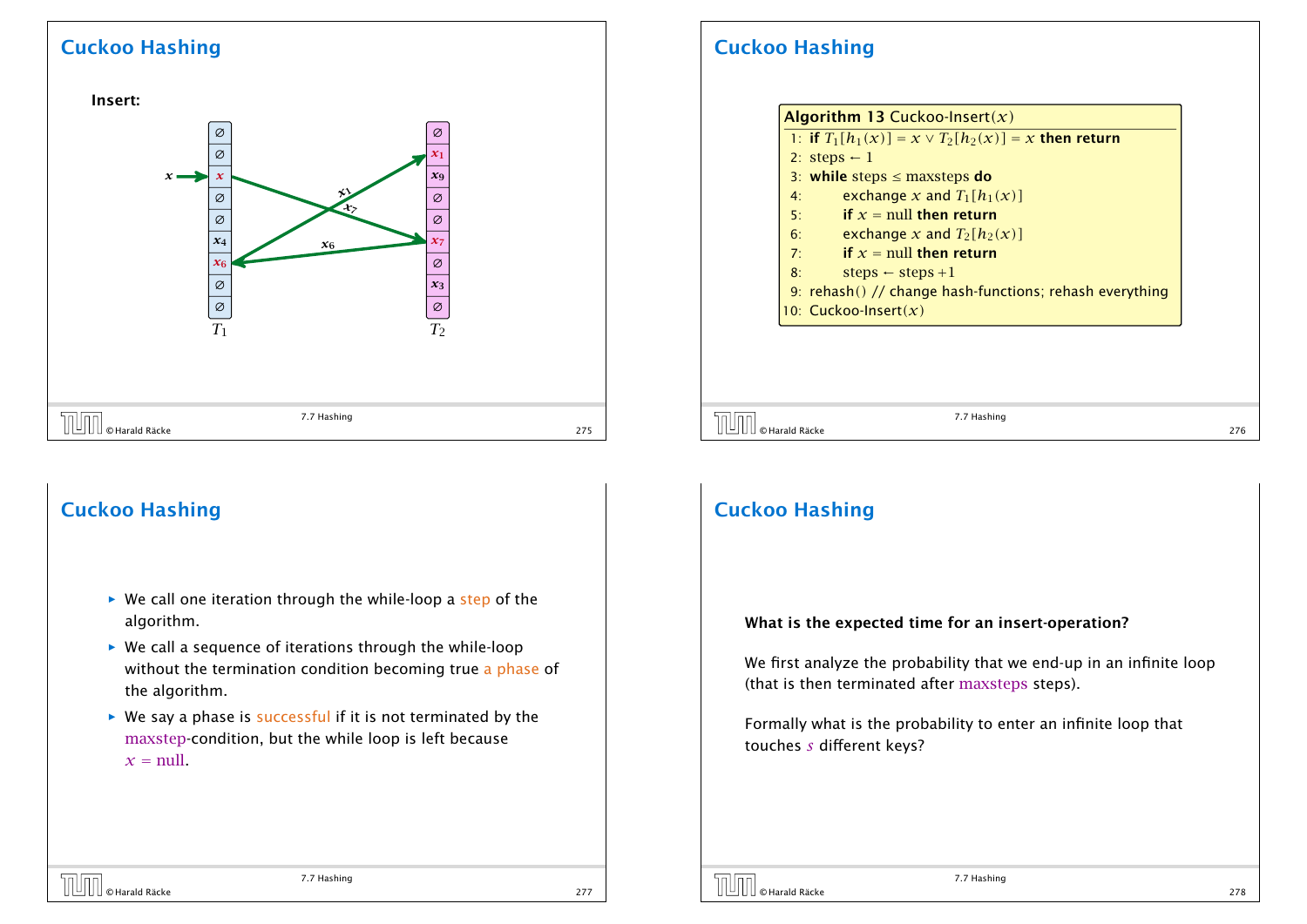Insert: ∅ ∅  $\mathbf{x}_6$ *x*4  $\overline{\circ}$ ∅ *x*7 *x x* ∅ ∅  $\boxed{\emptyset}$ <br> $T_2$ *x*3 ∅ *x*6  $\overline{\circ}$ ∅ *x*9  $\mathbf{v}_1$ ∅  $T_1$  *T*<sub>2</sub> x<sub>1</sub><br>
x<sub>6</sub><br>
x<sub>6</sub><br>
x<sub>6</sub><br>
x<sub>7</sub><br>
x<sub>7</sub><br>
x<sub>7</sub><br>
x<sub>7</sub><br>
x<sub>7</sub><br>
x<sub>7</sub><br>
x<sub>7</sub><br>
x<sub>7</sub> *x*6 *x*1 7.7 Hashing  $\overline{O(1)}$   $\circ$  Harald Räcke 275

## Cuckoo Hashing

- **▶ We call one iteration through the while-loop a step of the** algorithm.
- ▶ We call a sequence of iterations through the while-loop without the termination condition becoming true a phase of the algorithm.
- **▶ We say a phase is successful if it is not terminated by the** maxstep-condition, but the while loop is left because  $x = \text{null}$

## Cuckoo Hashing

|    | 1: if $T_1[h_1(x)] = x \vee T_2[h_2(x)] = x$ then return |
|----|----------------------------------------------------------|
|    | 2: steps $-1$                                            |
|    | 3: while steps $\leq$ maxsteps do                        |
| 4: | exchange x and $T_1[h_1(x)]$                             |
| 5: | if $x = \text{null}$ then return                         |
| 6: | exchange x and $T_2[h_2(x)]$                             |
| 7: | if $x = \text{null}$ then return                         |
| 8: | steps $\leftarrow$ steps +1                              |
|    | 9: rehash() // change hash-functions; rehash everything  |
|    | 10: Cuckoo-Insert $(x)$                                  |

 $\begin{array}{|c|c|c|}\hline \text{O} & \text{O} & \text{O} & \text{O} \end{array}$  276  $\begin{array}{|c|c|c|}\hline \text{O} & \text{O} & \text{O} & \text{O} & \text{O} \end{array}$  276  $\begin{array}{|c|c|c|c|}\hline \text{O} & \text{O} & \text{O} & \text{O} & \text{O} \end{array}$ 

7.7 Hashing

### Cuckoo Hashing

#### What is the expected time for an insert-operation?

We first analyze the probability that we end-up in an infinite loop (that is then terminated after maxsteps steps).

Formally what is the probability to enter an infinite loop that touches *s* different keys?

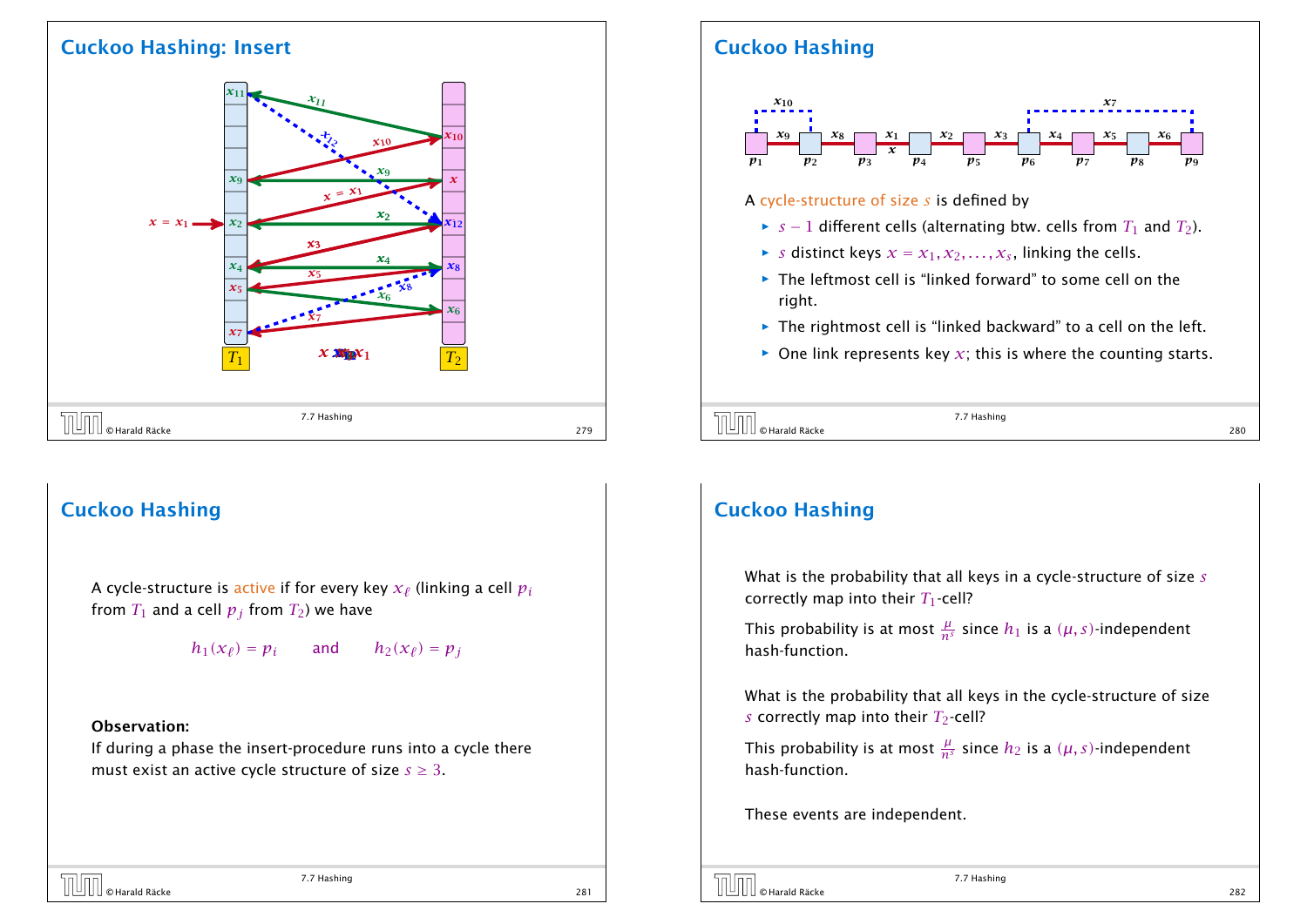### Cuckoo Hashing: Insert



## Cuckoo Hashing

A cycle-structure is active if for every key  $x_\ell$  (linking a cell  $p_i$ from  $T_1$  and a cell  $p_j$  from  $T_2$ ) we have

$$
h_1(x_\ell) = p_i
$$
 and  $h_2(x_\ell) = p_j$ 

#### Observation:

If during a phase the insert-procedure runs into a cycle there must exist an active cycle structure of size  $s \geq 3$ .

# Cuckoo Hashing



#### A cycle-structure of size *s* is defined by

- *► s* − 1 different cells (alternating btw. cells from  $T_1$  and  $T_2$ ).
- $\triangleright$  *s* distinct keys  $x = x_1, x_2, \ldots, x_s$ , linking the cells.
- **Fig. 2** The leftmost cell is "linked forward" to some cell on the right.
- ▶ The rightmost cell is "linked backward" to a cell on the left.
- $\triangleright$  One link represents key  $x$ ; this is where the counting starts.
- $\overline{C}$   $\overline{C}$   $\overline{C}$   $\overline{C}$   $\overline{C}$   $\overline{C}$   $\overline{C}$   $\overline{C}$   $\overline{C}$   $\overline{C}$   $\overline{C}$   $\overline{C}$   $\overline{C}$   $\overline{C}$   $\overline{C}$   $\overline{C}$   $\overline{C}$   $\overline{C}$   $\overline{C}$   $\overline{C}$   $\overline{C}$   $\overline{C}$   $\overline{C}$   $\overline{C}$   $\overline{$

7.7 Hashing

## Cuckoo Hashing

What is the probability that all keys in a cycle-structure of size *s* correctly map into their  $T_1$ -cell?

This probability is at most  $\frac{\mu}{n^s}$  since  $h_1$  is a  $(\mu, s)$ -independent hash-function.

What is the probability that all keys in the cycle-structure of size *s* correctly map into their  $T_2$ -cell?

This probability is at most  $\frac{\mu}{n^s}$  since  $h_2$  is a  $(\mu, s)$ -independent hash-function.

7.7 Hashing

These events are independent.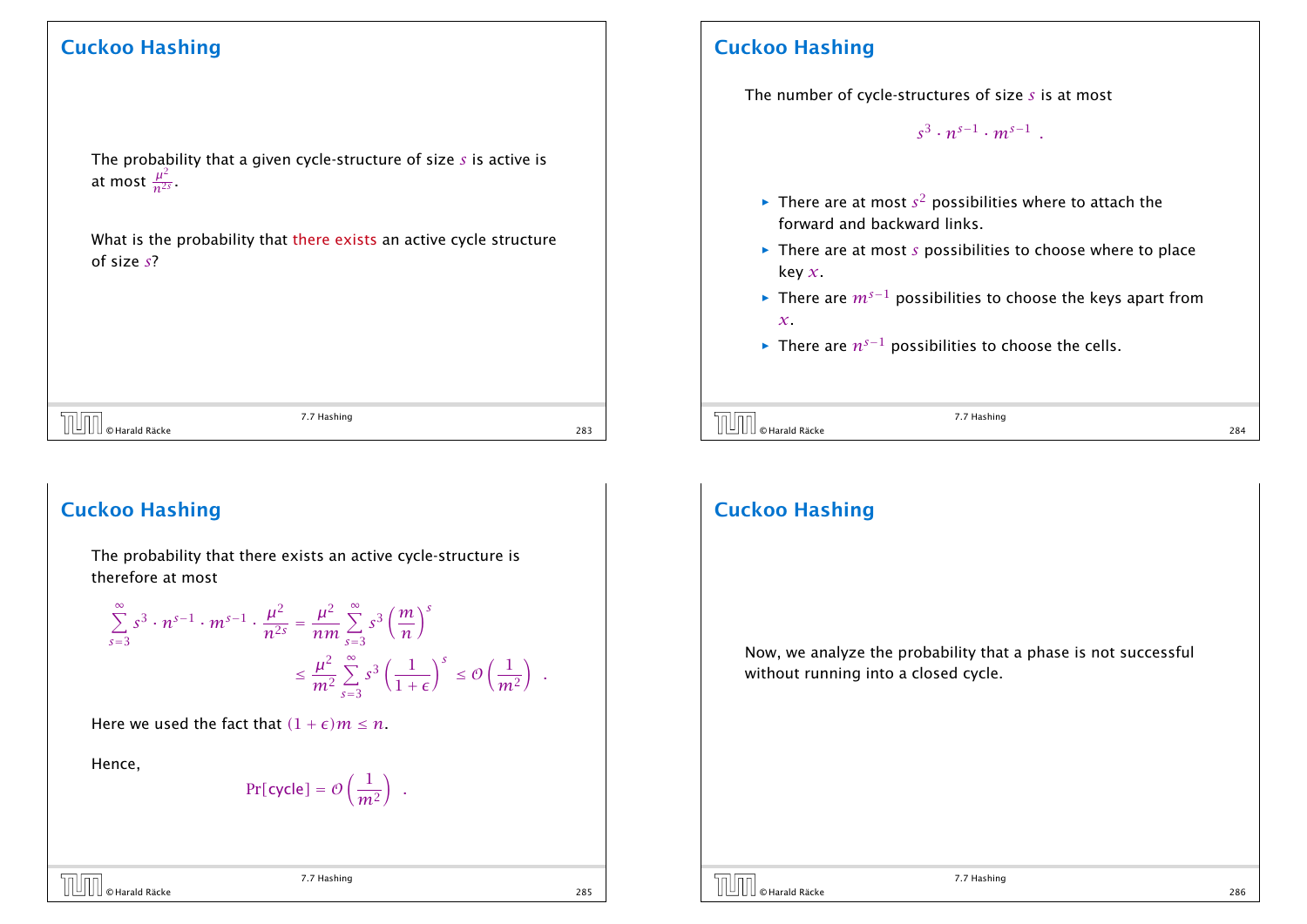The probability that a given cycle-structure of size *s* is active is at most  $\frac{\mu^2}{n^{2s}}$  $rac{\mu}{n^{2s}}$ 

What is the probability that there exists an active cycle structure of size *s*?

 $\overline{C}$   $\overline{C}$   $\overline{C}$   $\overline{C}$   $\overline{C}$   $\overline{C}$   $\overline{C}$   $\overline{C}$   $\overline{C}$   $\overline{C}$   $\overline{C}$   $\overline{C}$   $\overline{C}$   $\overline{C}$   $\overline{C}$   $\overline{C}$   $\overline{C}$   $\overline{C}$   $\overline{C}$   $\overline{C}$   $\overline{C}$   $\overline{C}$   $\overline{C}$   $\overline{C}$   $\overline{$ 

7.7 Hashing

### Cuckoo Hashing

The probability that there exists an active cycle-structure is therefore at most

$$
\sum_{s=3}^{\infty} s^3 \cdot n^{s-1} \cdot m^{s-1} \cdot \frac{\mu^2}{n^{2s}} = \frac{\mu^2}{nm} \sum_{s=3}^{\infty} s^3 \left(\frac{m}{n}\right)^s
$$

$$
\leq \frac{\mu^2}{m^2} \sum_{s=3}^{\infty} s^3 \left(\frac{1}{1+\epsilon}\right)^s \leq \mathcal{O}\left(\frac{1}{m^2}\right) .
$$

Here we used the fact that  $(1 + \epsilon)m \leq n$ .

Hence,

$$
Pr[cycle] = \mathcal{O}\left(\frac{1}{m^2}\right) \ .
$$

7.7 Hashing  $\overline{P}$   $\overline{P}$   $\overline{Q}$   $\overline{Q}$   $\overline{Q}$   $\overline{Q}$   $\overline{Q}$   $\overline{Q}$   $\overline{Q}$   $\overline{Q}$   $\overline{Q}$   $\overline{Q}$   $\overline{Q}$   $\overline{Q}$   $\overline{Q}$   $\overline{Q}$   $\overline{Q}$   $\overline{Q}$   $\overline{Q}$   $\overline{Q}$   $\overline{Q}$   $\overline{Q}$   $\overline{Q}$   $\overline{Q}$   $\overline{$ 

## Cuckoo Hashing

The number of cycle-structures of size *s* is at most

 $s^3 \cdot n^{s-1} \cdot m^{s-1}$ .

- $\blacktriangleright$  There are at most  $s^2$  possibilities where to attach the forward and backward links.
- $\blacktriangleright$  There are at most *s* possibilities to choose where to place key *x*.
- *<sup>ñ</sup>* There are *ms*−<sup>1</sup> possibilities to choose the keys apart from *x*.
- *<sup>ñ</sup>* There are *ns*−<sup>1</sup> possibilities to choose the cells.

 $\begin{array}{|c|c|}\hline \text{[O]} \text{[O]} \text{[O]} \text{[O]} \text{[O]} \text{[O]} \text{[O]} \text{[O]} \text{[O]} \text{[O]} \text{[O]} \text{[O]} \text{[O]} \text{[O]} \text{[O]} \text{[O]} \text{[O]} \text{[O]} \text{[O]} \text{[O]} \text{[O]} \text{[O]} \text{[O]} \text{[O]} \text{[O]} \text{[O]} \text{[O]} \text{[O]} \text{[O]} \text{[O]} \text{[O]} \text{[O]} \text{[O]} \text{[O]} \text{$ 

7.7 Hashing

## Cuckoo Hashing

Now, we analyze the probability that a phase is not successful without running into a closed cycle.

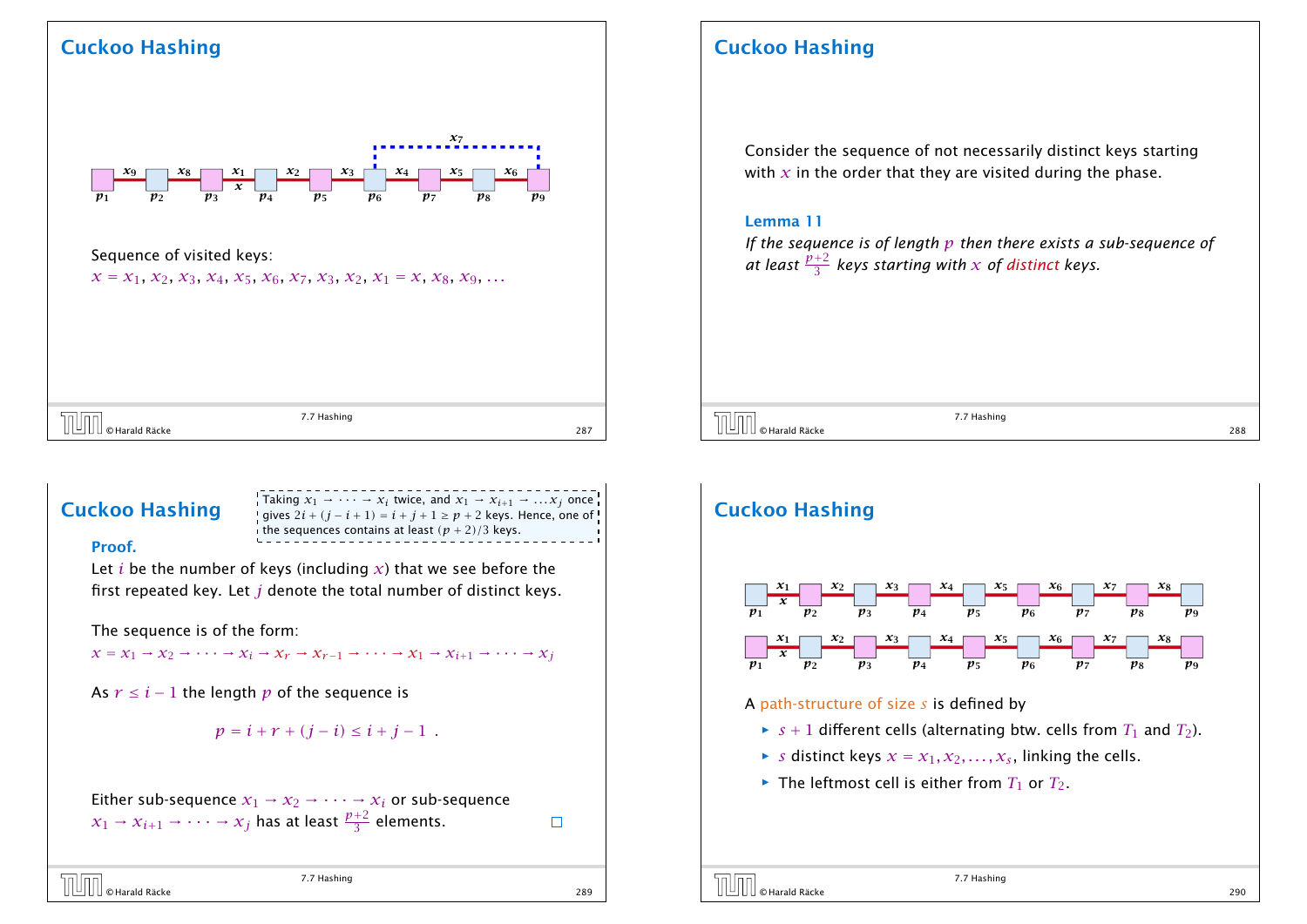

Sequence of visited keys:

 $x = x_1, x_2, x_3, x_4, x_5, x_6, x_7, x_3, x_2, x_1 = x, x_8, x_9, \ldots$ 

| © Harald Räcke<br>−<br>2 U U | 7.7 Hashing | 287 |
|------------------------------|-------------|-----|
|                              |             |     |

## Cuckoo Hashing



#### Proof.

Let *i* be the number of keys (including *x*) that we see before the first repeated key. Let *j* denote the total number of distinct keys.

The sequence is of the form:

 $x = x_1 \rightarrow x_2 \rightarrow \cdots \rightarrow x_i \rightarrow x_r \rightarrow x_{r-1} \rightarrow \cdots \rightarrow x_1 \rightarrow x_{i+1} \rightarrow \cdots \rightarrow x_i$ 

As  $r \leq i - 1$  the length  $p$  of the sequence is

 $p = i + r + (i - i) \leq i + i - 1$ .

Either sub-sequence  $x_1 \rightarrow x_2 \rightarrow \cdots \rightarrow x_i$  or sub-sequence  $x_1 \rightarrow x_{i+1} \rightarrow \cdots \rightarrow x_j$  has at least  $\frac{p+2}{3}$  elements.

© Harald Räcke 289

7.7 Hashing

 $\Box$ 

## Cuckoo Hashing

Consider the sequence of not necessarily distinct keys starting with  $x$  in the order that they are visited during the phase.

#### Lemma 11

*If the sequence is of length p then there exists a sub-sequence of* at least  $\frac{p+2}{3}$  keys starting with  $x$  of distinct keys.

 $\overline{J}$   $\overline{J}$   $\overline{J}$   $\overline{J}$   $\overline{J}$   $\overline{J}$   $\overline{J}$   $\overline{J}$   $\overline{J}$   $\overline{J}$   $\overline{J}$   $\overline{J}$   $\overline{J}$   $\overline{J}$   $\overline{J}$   $\overline{J}$   $\overline{J}$   $\overline{J}$   $\overline{J}$   $\overline{J}$   $\overline{J}$   $\overline{J}$   $\overline{J}$   $\overline{J}$   $\overline{$ 

7.7 Hashing



- $\triangleright$  *s* distinct keys  $x = x_1, x_2, \ldots, x_s$ , linking the cells.
- $\blacktriangleright$  The leftmost cell is either from  $T_1$  or  $T_2$ .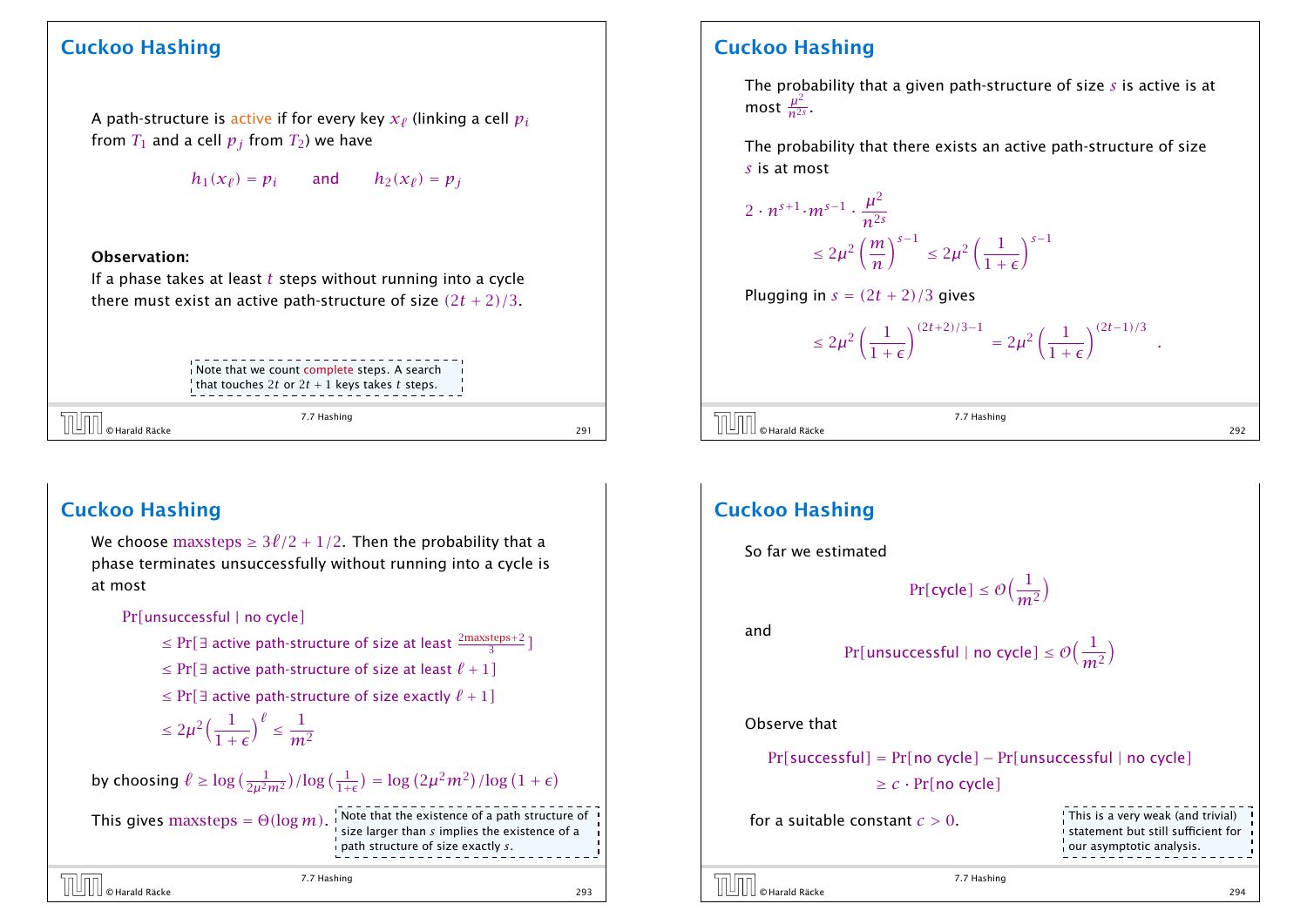A path-structure is active if for every key  $x_\ell$  (linking a cell  $p_i$ from  $T_1$  and a cell  $p_j$  from  $T_2$ ) we have

 $h_1(x_\ell) = p_i$  and  $h_2(x_\ell) = p_j$ 

#### Observation:

If a phase takes at least *t* steps without running into a cycle there must exist an active path-structure of size *(*2*t* + 2*)/*3.

> Note that we count complete steps. A search that touches 2*t* or  $2t + 1$  keys takes *t* steps.

© Harald Räcke 291

7.7 Hashing

### Cuckoo Hashing

We choose maxsteps  $\geq 3\ell/2 + 1/2$ . Then the probability that a phase terminates unsuccessfully without running into a cycle is at most

Pr*[*unsuccessful | no cycle*]*

- ≤ Pr[ $\exists$  active path-structure of size at least  $\frac{2\text{maxsteps}+2}{3}$ ]
- ≤ Pr[ $\exists$  active path-structure of size at least  $\ell + 1$ ]
- ≤ Pr[ $\exists$  active path-structure of size exactly  $\ell + 1$ ]
- $\leq 2\mu^2\Big(\frac{1}{1+1}\Big)$  $1+\epsilon$  $\lambda^{\ell}$ ≤ 1 *m*<sup>2</sup>

by choosing  $\ell \ge \log \left( \frac{1}{2\mu^2 m^2} \right) / \log \left( \frac{1}{1+\epsilon} \right) = \log \left( 2\mu^2 m^2 \right) / \log \left( 1+\epsilon \right)$ 

This gives  $maxsteps = \Theta(\log m)$ . Note that the existence of a path structure of a path structure of a path structure of a

size larger than *s* implies the existence of a path structure of size exactly *s*.

$$
7.7 \text{ Hashing}
$$
\n
$$
1000 \text{ Hazard Räcke}
$$
\n
$$
293
$$

## Cuckoo Hashing

The probability that a given path-structure of size *s* is active is at most  $\frac{\mu^2}{n^{2s}}$  $rac{\mu}{n^{2s}}$ 

The probability that there exists an active path-structure of size *s* is at most

 $2 \cdot n^{s+1} \cdot m^{s-1}$ .  $\mu^2$ *n*2*<sup>s</sup>*  $\leq 2\mu^2\left(\frac{m}{n}\right)$ *n s*−<sup>1</sup>  $≤ 2\mu^2\left(\frac{1}{1+}\right)$  $1+\epsilon$ *s*−<sup>1</sup>

Plugging in 
$$
s = (2t + 2)/3
$$
 gives

$$
\leq 2\mu^2\left(\frac{1}{1+\epsilon}\right)^{(2t+2)/3-1}\,=2\mu^2\left(\frac{1}{1+\epsilon}\right)^{(2t-1)/3}\ .
$$

 $\overline{C}$   $\overline{C}$   $\overline{C}$  Harald Räcke 292<br> $\overline{C}$  292<br>292

7.7 Hashing

## Cuckoo Hashing So far we estimated  $Pr[\textsf{cycle}] \leq \mathcal{O}\Big(\frac{1}{m^2}\Big)$  $\overline{ }$ and  $\text{Pr}[\textsf{unsuccessful} \mid \textsf{no cycle}] \leq \mathcal{O}\Big(\frac{1}{m^2}\Big)$ <sup>1</sup> Observe that Pr*[*successful*]* = Pr*[*no cycle*]* − Pr*[*unsuccessful | no cycle*]* ≥ *c* · Pr*[*no cycle*]* for a suitable constant *c >* 0. This is a very weak (and trivial) statement but still sufficient for our asymptotic analysis.

7.7 Hashing

© Harald Räcke 294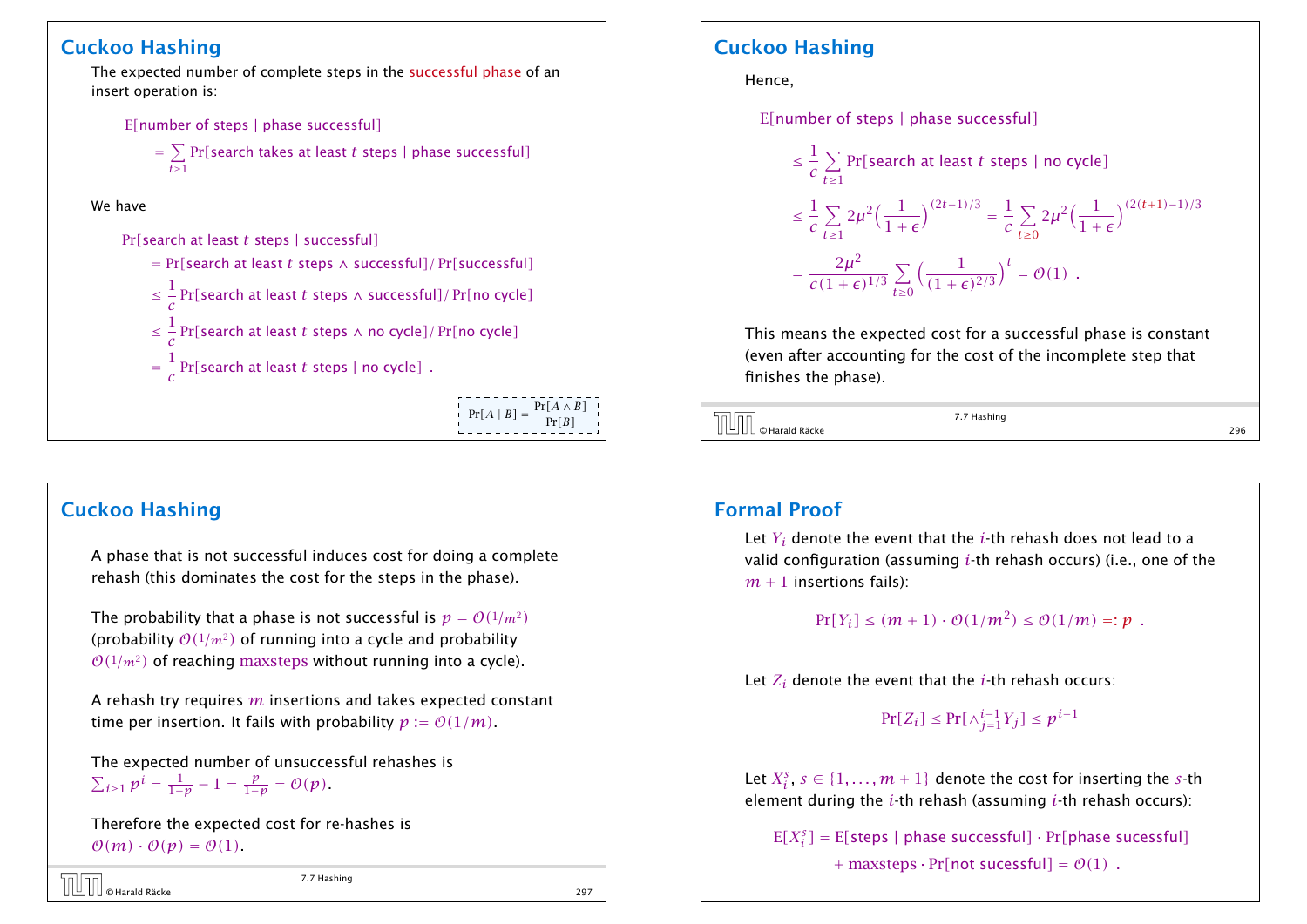The expected number of complete steps in the successful phase of an insert operation is:

E*[*number of steps | phase successful*]*

= X Pr*[*search takes at least *t* steps | phase successful*] t*≥1

We have

Pr*[*search at least *t* steps | successful*]*

= Pr*[*search at least *t* steps ∧ successful*]/* Pr*[*successful*]* ≤ 1 *c* Pr*[*search at least *t* steps ∧ successful*]/* Pr*[*no cycle*]* ≤ 1 *c* Pr*[*search at least *t* steps ∧ no cycle*]/* Pr*[*no cycle*]* = 1 *c* Pr*[*search at least *t* steps | no cycle*] .*  $Pr[A \mid B] = \frac{Pr[A \wedge B]}{Pr[B]}$ Pr*[B]*

## Cuckoo Hashing

A phase that is not successful induces cost for doing a complete rehash (this dominates the cost for the steps in the phase).

The probability that a phase is not successful is  $p = O(1/m^2)$ (probability  $O(1/m^2)$  of running into a cycle and probability  $O(1/m^2)$  of reaching maxsteps without running into a cycle).

A rehash try requires *m* insertions and takes expected constant time per insertion. It fails with probability  $p := \mathcal{O}(1/m)$ .

The expected number of unsuccessful rehashes is  $\sum_{i\geq 1} p^i = \frac{1}{1-p} - 1 = \frac{p}{1-p} = O(p).$ 

Therefore the expected cost for re-hashes is  $\mathcal{O}(m) \cdot \mathcal{O}(p) = \mathcal{O}(1)$ .

```
© Harald Räcke 297
```
7.7 Hashing

### Cuckoo Hashing

Hence,

E*[*number of steps | phase successful*]*

$$
\leq \frac{1}{c} \sum_{t \geq 1} \Pr[\text{search at least } t \text{ steps } | \text{ no cycle}]
$$
\n
$$
\leq \frac{1}{c} \sum_{t \geq 1} 2\mu^2 \Big(\frac{1}{1+\epsilon}\Big)^{(2t-1)/3} = \frac{1}{c} \sum_{t \geq 0} 2\mu^2 \Big(\frac{1}{1+\epsilon}\Big)^{(2(t+1)-1)/3}
$$
\n
$$
= \frac{2\mu^2}{c(1+\epsilon)^{1/3}} \sum_{t \geq 0} \Big(\frac{1}{(1+\epsilon)^{2/3}}\Big)^t = \mathcal{O}(1) .
$$

This means the expected cost for a successful phase is constant (even after accounting for the cost of the incomplete step that finishes the phase).

 $\overline{C}$   $\overline{C}$   $\overline{C}$   $\overline{C}$  Harald Räcke 296  $\overline{C}$   $\overline{C}$   $\overline{C}$   $\overline{C}$   $\overline{C}$   $\overline{C}$   $\overline{C}$   $\overline{C}$   $\overline{C}$   $\overline{C}$   $\overline{C}$   $\overline{C}$   $\overline{C}$   $\overline{C}$   $\overline{C}$   $\overline{C}$   $\overline{C}$   $\overline{C}$   $\overline{C$ 

7.7 Hashing

## Formal Proof

Let *Y<sup>i</sup>* denote the event that the *i*-th rehash does not lead to a valid configuration (assuming *i*-th rehash occurs) (i.e., one of the  $m + 1$  insertions fails):

 $Pr[Y_i] \le (m+1) \cdot \mathcal{O}(1/m^2) \le \mathcal{O}(1/m) =: p$ .

Let *Z<sup>i</sup>* denote the event that the *i*-th rehash occurs:

 $Pr[Z_i] \leq Pr[\wedge_{j=1}^{i-1} Y_j] \leq p^{i-1}$ 

Let  $X_i^{\mathcal{S}}, \, s\in\{1,\ldots,m+1\}$  denote the cost for inserting the  $s$ -th element during the *i*-th rehash (assuming *i*-th rehash occurs):

E*[X<sup>s</sup> i ]* = E*[*steps | phase successful*]* · Pr*[*phase sucessful*]*  $+$  maxsteps  $\cdot$  Pr[not sucessful] =  $\mathcal{O}(1)$ .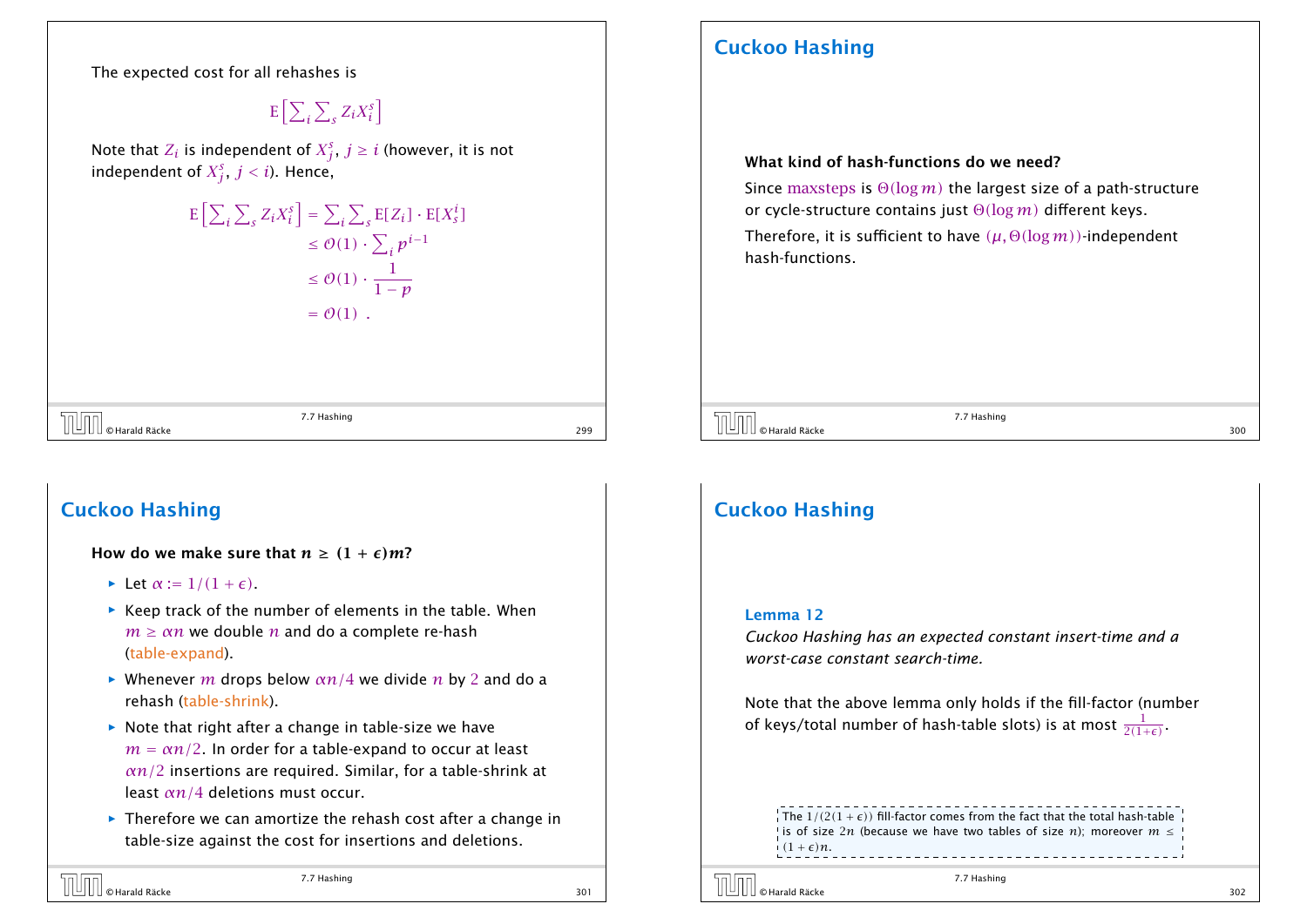The expected cost for all rehashes is

 $E[\sum_{i=1}^{n}$ *i*  $\overline{\nabla}$  $Z_i X_i^s$ i

Note that  $Z_i$  is independent of  $X^s_j, \, j\geq i$  (however, it is not independent of  $X^s_j, \ j < i).$  Hence,

$$
\begin{aligned} \mathbb{E}\left[\sum_{i} \sum_{s} Z_{i} X_{i}^{s}\right] &= \sum_{i} \sum_{s} \mathbb{E}[Z_{i}] \cdot \mathbb{E}[X_{s}^{i}] \\ &\leq \mathcal{O}(1) \cdot \sum_{i} p^{i-1} \\ &\leq \mathcal{O}(1) \cdot \frac{1}{1-p} \\ &= \mathcal{O}(1) \end{aligned}
$$

 $\overline{\text{Cov}}$   $\begin{array}{|l|l|} \hline \text{O}} \end{array}$   $\begin{array}{|l|l|} \hline \text{O}} \end{array}$   $\begin{array}{|l|l|} \hline \text{O}} \end{array}$   $\begin{array}{|l|l|} \hline \text{O}} \end{array}$   $\begin{array}{|l|l|} \hline \text{O}} \end{array}$   $\begin{array}{|l|l|} \hline \text{O}} \end{array}$   $\begin{array}{|l|l|} \hline \text{O}} \end{array}$   $\begin{array}{|l|l|} \hline \text{O}}$ 

7.7 Hashing

### Cuckoo Hashing

#### How do we make sure that  $n > (1 + \epsilon)m$ ?

- $\blacktriangleright$  Let  $\alpha := 1/(1 + \epsilon)$ .
- **▶ Keep track of the number of elements in the table. When**  $m \geq \alpha n$  we double *n* and do a complete re-hash (table-expand).
- *ñ* Whenever *m* drops below *αn/*4 we divide *n* by 2 and do a rehash (table-shrink).
- ▶ Note that right after a change in table-size we have  $m = \alpha n/2$ . In order for a table-expand to occur at least *αn/*2 insertions are required. Similar, for a table-shrink at least *αn/*4 deletions must occur.
- **FI** Therefore we can amortize the rehash cost after a change in table-size against the cost for insertions and deletions.

## Cuckoo Hashing

#### What kind of hash-functions do we need?

Since maxsteps is Θ*(*log*m)* the largest size of a path-structure or cycle-structure contains just Θ*(*log*m)* different keys.

Therefore, it is sufficient to have *(µ,* Θ*(*log*m))*-independent hash-functions.

 $\overline{J}$   $\overline{J}$   $\overline{J}$   $\overline{J}$   $\overline{J}$   $\overline{J}$   $\overline{J}$   $\overline{J}$   $\overline{J}$   $\overline{J}$   $\overline{J}$   $\overline{J}$   $\overline{J}$   $\overline{J}$   $\overline{J}$   $\overline{J}$   $\overline{J}$   $\overline{J}$   $\overline{J}$   $\overline{J}$   $\overline{J}$   $\overline{J}$   $\overline{J}$   $\overline{J}$   $\overline{$ 

7.7 Hashing

## Cuckoo Hashing

#### Lemma 12

*Cuckoo Hashing has an expected constant insert-time and a worst-case constant search-time.*

Note that the above lemma only holds if the fill-factor (number of keys/total number of hash-table slots) is at most  $\frac{1}{2(1+\epsilon)}$ .